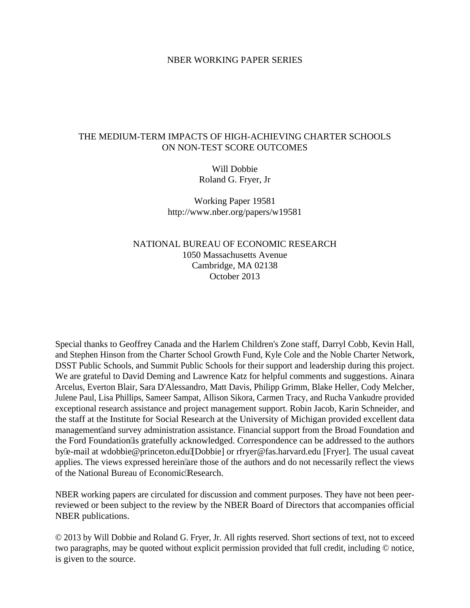## NBER WORKING PAPER SERIES

## THE MEDIUM-TERM IMPACTS OF HIGH-ACHIEVING CHARTER SCHOOLS ON NON-TEST SCORE OUTCOMES

Will Dobbie Roland G. Fryer, Jr

Working Paper 19581 http://www.nber.org/papers/w19581

## NATIONAL BUREAU OF ECONOMIC RESEARCH 1050 Massachusetts Avenue Cambridge, MA 02138 October 2013

Special thanks to Geoffrey Canada and the Harlem Children's Zone staff, Darryl Cobb, Kevin Hall, and Stephen Hinson from the Charter School Growth Fund, Kyle Cole and the Noble Charter Network, DSST Public Schools, and Summit Public Schools for their support and leadership during this project. We are grateful to David Deming and Lawrence Katz for helpful comments and suggestions. Ainara Arcelus, Everton Blair, Sara D'Alessandro, Matt Davis, Philipp Grimm, Blake Heller, Cody Melcher, Julene Paul, Lisa Phillips, Sameer Sampat, Allison Sikora, Carmen Tracy, and Rucha Vankudre provided exceptional research assistance and project management support. Robin Jacob, Karin Schneider, and the staff at the Institute for Social Research at the University of Michigan provided excellent data management" and survey administration assistance. Financial support from the Broad Foundation and the Ford Foundation'is gratefully acknowledged. Correspondence can be addressed to the authors by''e-mail at wdobbie@princeton.edu''[Dobbie] or rfryer@fas.harvard.edu [Fryer]. The usual caveat applies. The views expressed herein are those of the authors and do not necessarily reflect the views of the National Bureau of Economic'Research.

NBER working papers are circulated for discussion and comment purposes. They have not been peerreviewed or been subject to the review by the NBER Board of Directors that accompanies official NBER publications.

© 2013 by Will Dobbie and Roland G. Fryer, Jr. All rights reserved. Short sections of text, not to exceed two paragraphs, may be quoted without explicit permission provided that full credit, including © notice, is given to the source.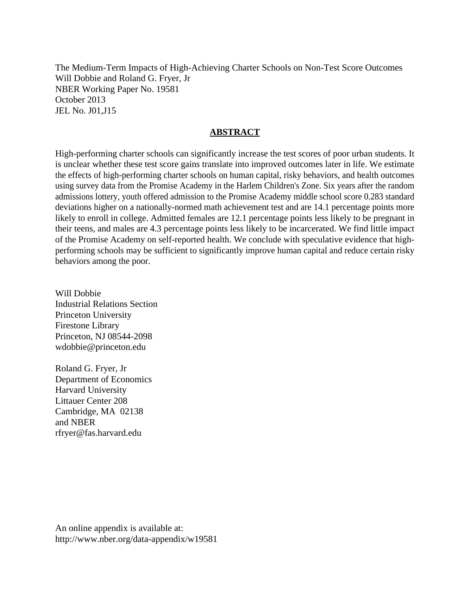The Medium-Term Impacts of High-Achieving Charter Schools on Non-Test Score Outcomes Will Dobbie and Roland G. Fryer, Jr NBER Working Paper No. 19581 October 2013 JEL No. J01,J15

## **ABSTRACT**

High-performing charter schools can significantly increase the test scores of poor urban students. It is unclear whether these test score gains translate into improved outcomes later in life. We estimate the effects of high-performing charter schools on human capital, risky behaviors, and health outcomes using survey data from the Promise Academy in the Harlem Children's Zone. Six years after the random admissions lottery, youth offered admission to the Promise Academy middle school score 0.283 standard deviations higher on a nationally-normed math achievement test and are 14.1 percentage points more likely to enroll in college. Admitted females are 12.1 percentage points less likely to be pregnant in their teens, and males are 4.3 percentage points less likely to be incarcerated. We find little impact of the Promise Academy on self-reported health. We conclude with speculative evidence that highperforming schools may be sufficient to significantly improve human capital and reduce certain risky behaviors among the poor.

Will Dobbie Industrial Relations Section Princeton University Firestone Library Princeton, NJ 08544-2098 wdobbie@princeton.edu

Roland G. Fryer, Jr Department of Economics Harvard University Littauer Center 208 Cambridge, MA 02138 and NBER rfryer@fas.harvard.edu

An online appendix is available at: http://www.nber.org/data-appendix/w19581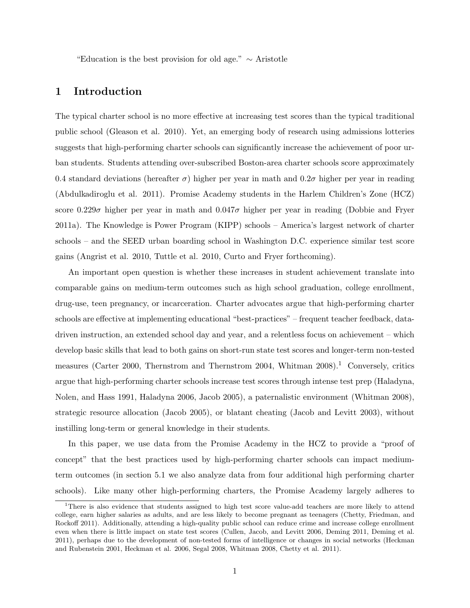"Education is the best provision for old age."  $\sim$  Aristotle

## 1 Introduction

The typical charter school is no more effective at increasing test scores than the typical traditional public school (Gleason et al. 2010). Yet, an emerging body of research using admissions lotteries suggests that high-performing charter schools can significantly increase the achievement of poor urban students. Students attending over-subscribed Boston-area charter schools score approximately 0.4 standard deviations (hereafter  $\sigma$ ) higher per year in math and 0.2 $\sigma$  higher per year in reading (Abdulkadiroglu et al. 2011). Promise Academy students in the Harlem Children's Zone (HCZ) score  $0.229\sigma$  higher per year in math and  $0.047\sigma$  higher per year in reading (Dobbie and Fryer 2011a). The Knowledge is Power Program (KIPP) schools – America's largest network of charter schools – and the SEED urban boarding school in Washington D.C. experience similar test score gains (Angrist et al. 2010, Tuttle et al. 2010, Curto and Fryer forthcoming).

An important open question is whether these increases in student achievement translate into comparable gains on medium-term outcomes such as high school graduation, college enrollment, drug-use, teen pregnancy, or incarceration. Charter advocates argue that high-performing charter schools are effective at implementing educational "best-practices" – frequent teacher feedback, datadriven instruction, an extended school day and year, and a relentless focus on achievement – which develop basic skills that lead to both gains on short-run state test scores and longer-term non-tested measures (Carter 2000, Thernstrom and Thernstrom 2004, Whitman 2008).<sup>1</sup> Conversely, critics argue that high-performing charter schools increase test scores through intense test prep (Haladyna, Nolen, and Hass 1991, Haladyna 2006, Jacob 2005), a paternalistic environment (Whitman 2008), strategic resource allocation (Jacob 2005), or blatant cheating (Jacob and Levitt 2003), without instilling long-term or general knowledge in their students.

In this paper, we use data from the Promise Academy in the HCZ to provide a "proof of concept" that the best practices used by high-performing charter schools can impact mediumterm outcomes (in section 5.1 we also analyze data from four additional high performing charter schools). Like many other high-performing charters, the Promise Academy largely adheres to

<sup>&</sup>lt;sup>1</sup>There is also evidence that students assigned to high test score value-add teachers are more likely to attend college, earn higher salaries as adults, and are less likely to become pregnant as teenagers (Chetty, Friedman, and Rockoff 2011). Additionally, attending a high-quality public school can reduce crime and increase college enrollment even when there is little impact on state test scores (Cullen, Jacob, and Levitt 2006, Deming 2011, Deming et al. 2011), perhaps due to the development of non-tested forms of intelligence or changes in social networks (Heckman and Rubenstein 2001, Heckman et al. 2006, Segal 2008, Whitman 2008, Chetty et al. 2011).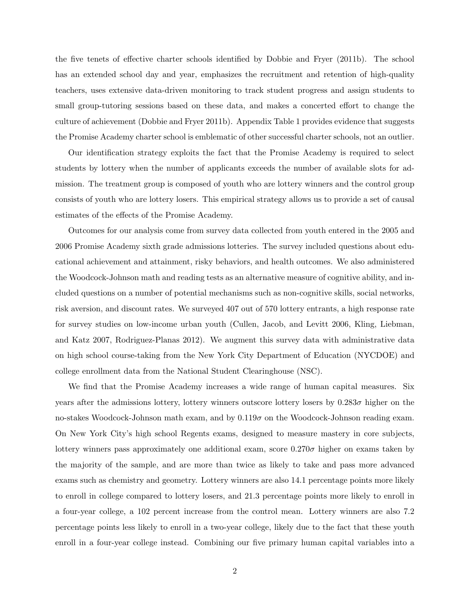the five tenets of effective charter schools identified by Dobbie and Fryer (2011b). The school has an extended school day and year, emphasizes the recruitment and retention of high-quality teachers, uses extensive data-driven monitoring to track student progress and assign students to small group-tutoring sessions based on these data, and makes a concerted effort to change the culture of achievement (Dobbie and Fryer 2011b). Appendix Table 1 provides evidence that suggests the Promise Academy charter school is emblematic of other successful charter schools, not an outlier.

Our identification strategy exploits the fact that the Promise Academy is required to select students by lottery when the number of applicants exceeds the number of available slots for admission. The treatment group is composed of youth who are lottery winners and the control group consists of youth who are lottery losers. This empirical strategy allows us to provide a set of causal estimates of the effects of the Promise Academy.

Outcomes for our analysis come from survey data collected from youth entered in the 2005 and 2006 Promise Academy sixth grade admissions lotteries. The survey included questions about educational achievement and attainment, risky behaviors, and health outcomes. We also administered the Woodcock-Johnson math and reading tests as an alternative measure of cognitive ability, and included questions on a number of potential mechanisms such as non-cognitive skills, social networks, risk aversion, and discount rates. We surveyed 407 out of 570 lottery entrants, a high response rate for survey studies on low-income urban youth (Cullen, Jacob, and Levitt 2006, Kling, Liebman, and Katz 2007, Rodriguez-Planas 2012). We augment this survey data with administrative data on high school course-taking from the New York City Department of Education (NYCDOE) and college enrollment data from the National Student Clearinghouse (NSC).

We find that the Promise Academy increases a wide range of human capital measures. Six years after the admissions lottery, lottery winners outscore lottery losers by  $0.283\sigma$  higher on the no-stakes Woodcock-Johnson math exam, and by  $0.119\sigma$  on the Woodcock-Johnson reading exam. On New York City's high school Regents exams, designed to measure mastery in core subjects, lottery winners pass approximately one additional exam, score  $0.270\sigma$  higher on exams taken by the majority of the sample, and are more than twice as likely to take and pass more advanced exams such as chemistry and geometry. Lottery winners are also 14.1 percentage points more likely to enroll in college compared to lottery losers, and 21.3 percentage points more likely to enroll in a four-year college, a 102 percent increase from the control mean. Lottery winners are also 7.2 percentage points less likely to enroll in a two-year college, likely due to the fact that these youth enroll in a four-year college instead. Combining our five primary human capital variables into a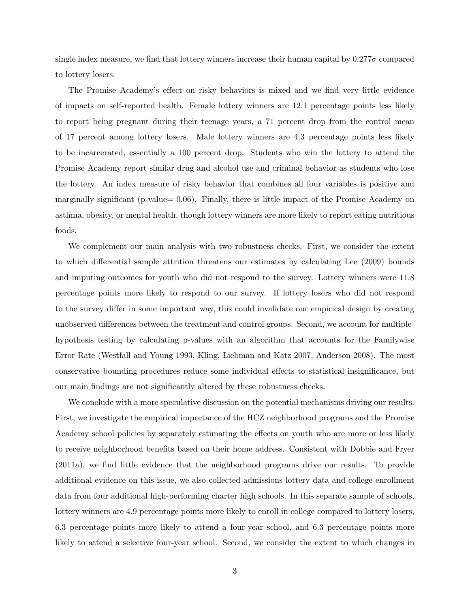single index measure, we find that lottery winners increase their human capital by  $0.277\sigma$  compared to lottery losers.

The Promise Academy's effect on risky behaviors is mixed and we find very little evidence of impacts on self-reported health. Female lottery winners are 12.1 percentage points less likely to report being pregnant during their teenage years, a 71 percent drop from the control mean of 17 percent among lottery losers. Male lottery winners are 4.3 percentage points less likely to be incarcerated, essentially a 100 percent drop. Students who win the lottery to attend the Promise Academy report similar drug and alcohol use and criminal behavior as students who lose the lottery. An index measure of risky behavior that combines all four variables is positive and marginally significant (p-value= 0.06). Finally, there is little impact of the Promise Academy on asthma, obesity, or mental health, though lottery winners are more likely to report eating nutritious foods.

We complement our main analysis with two robustness checks. First, we consider the extent to which differential sample attrition threatens our estimates by calculating Lee (2009) bounds and imputing outcomes for youth who did not respond to the survey. Lottery winners were 11.8 percentage points more likely to respond to our survey. If lottery losers who did not respond to the survey differ in some important way, this could invalidate our empirical design by creating unobserved differences between the treatment and control groups. Second, we account for multiplehypothesis testing by calculating p-values with an algorithm that accounts for the Familywise Error Rate (Westfall and Young 1993, Kling, Liebman and Katz 2007, Anderson 2008). The most conservative bounding procedures reduce some individual effects to statistical insignificance, but our main findings are not significantly altered by these robustness checks.

We conclude with a more speculative discussion on the potential mechanisms driving our results. First, we investigate the empirical importance of the HCZ neighborhood programs and the Promise Academy school policies by separately estimating the effects on youth who are more or less likely to receive neighborhood benefits based on their home address. Consistent with Dobbie and Fryer (2011a), we find little evidence that the neighborhood programs drive our results. To provide additional evidence on this issue, we also collected admissions lottery data and college enrollment data from four additional high-performing charter high schools. In this separate sample of schools, lottery winners are 4.9 percentage points more likely to enroll in college compared to lottery losers, 6.3 percentage points more likely to attend a four-year school, and 6.3 percentage points more likely to attend a selective four-year school. Second, we consider the extent to which changes in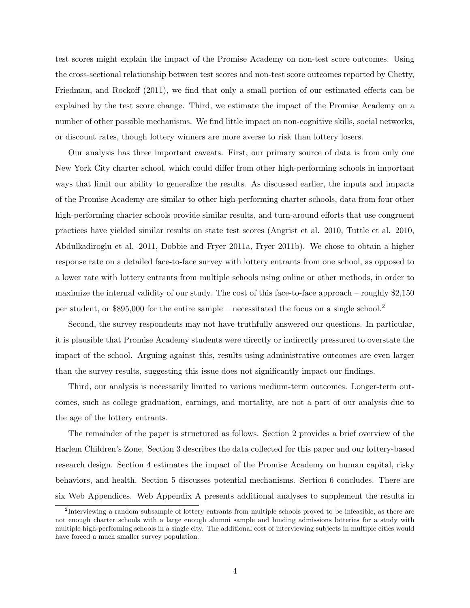test scores might explain the impact of the Promise Academy on non-test score outcomes. Using the cross-sectional relationship between test scores and non-test score outcomes reported by Chetty, Friedman, and Rockoff (2011), we find that only a small portion of our estimated effects can be explained by the test score change. Third, we estimate the impact of the Promise Academy on a number of other possible mechanisms. We find little impact on non-cognitive skills, social networks, or discount rates, though lottery winners are more averse to risk than lottery losers.

Our analysis has three important caveats. First, our primary source of data is from only one New York City charter school, which could differ from other high-performing schools in important ways that limit our ability to generalize the results. As discussed earlier, the inputs and impacts of the Promise Academy are similar to other high-performing charter schools, data from four other high-performing charter schools provide similar results, and turn-around efforts that use congruent practices have yielded similar results on state test scores (Angrist et al. 2010, Tuttle et al. 2010, Abdulkadiroglu et al. 2011, Dobbie and Fryer 2011a, Fryer 2011b). We chose to obtain a higher response rate on a detailed face-to-face survey with lottery entrants from one school, as opposed to a lower rate with lottery entrants from multiple schools using online or other methods, in order to maximize the internal validity of our study. The cost of this face-to-face approach – roughly \$2,150 per student, or \$895,000 for the entire sample – necessitated the focus on a single school.<sup>2</sup>

Second, the survey respondents may not have truthfully answered our questions. In particular, it is plausible that Promise Academy students were directly or indirectly pressured to overstate the impact of the school. Arguing against this, results using administrative outcomes are even larger than the survey results, suggesting this issue does not significantly impact our findings.

Third, our analysis is necessarily limited to various medium-term outcomes. Longer-term outcomes, such as college graduation, earnings, and mortality, are not a part of our analysis due to the age of the lottery entrants.

The remainder of the paper is structured as follows. Section 2 provides a brief overview of the Harlem Children's Zone. Section 3 describes the data collected for this paper and our lottery-based research design. Section 4 estimates the impact of the Promise Academy on human capital, risky behaviors, and health. Section 5 discusses potential mechanisms. Section 6 concludes. There are six Web Appendices. Web Appendix A presents additional analyses to supplement the results in

<sup>&</sup>lt;sup>2</sup>Interviewing a random subsample of lottery entrants from multiple schools proved to be infeasible, as there are not enough charter schools with a large enough alumni sample and binding admissions lotteries for a study with multiple high-performing schools in a single city. The additional cost of interviewing subjects in multiple cities would have forced a much smaller survey population.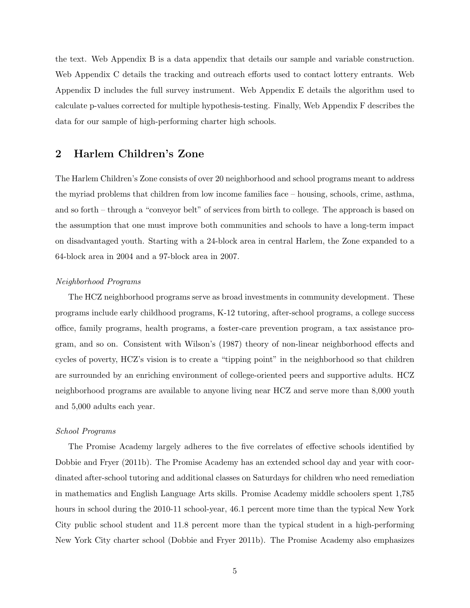the text. Web Appendix B is a data appendix that details our sample and variable construction. Web Appendix C details the tracking and outreach efforts used to contact lottery entrants. Web Appendix D includes the full survey instrument. Web Appendix E details the algorithm used to calculate p-values corrected for multiple hypothesis-testing. Finally, Web Appendix F describes the data for our sample of high-performing charter high schools.

## 2 Harlem Children's Zone

The Harlem Children's Zone consists of over 20 neighborhood and school programs meant to address the myriad problems that children from low income families face – housing, schools, crime, asthma, and so forth – through a "conveyor belt" of services from birth to college. The approach is based on the assumption that one must improve both communities and schools to have a long-term impact on disadvantaged youth. Starting with a 24-block area in central Harlem, the Zone expanded to a 64-block area in 2004 and a 97-block area in 2007.

### Neighborhood Programs

The HCZ neighborhood programs serve as broad investments in community development. These programs include early childhood programs, K-12 tutoring, after-school programs, a college success office, family programs, health programs, a foster-care prevention program, a tax assistance program, and so on. Consistent with Wilson's (1987) theory of non-linear neighborhood effects and cycles of poverty, HCZ's vision is to create a "tipping point" in the neighborhood so that children are surrounded by an enriching environment of college-oriented peers and supportive adults. HCZ neighborhood programs are available to anyone living near HCZ and serve more than 8,000 youth and 5,000 adults each year.

### School Programs

The Promise Academy largely adheres to the five correlates of effective schools identified by Dobbie and Fryer (2011b). The Promise Academy has an extended school day and year with coordinated after-school tutoring and additional classes on Saturdays for children who need remediation in mathematics and English Language Arts skills. Promise Academy middle schoolers spent 1,785 hours in school during the 2010-11 school-year, 46.1 percent more time than the typical New York City public school student and 11.8 percent more than the typical student in a high-performing New York City charter school (Dobbie and Fryer 2011b). The Promise Academy also emphasizes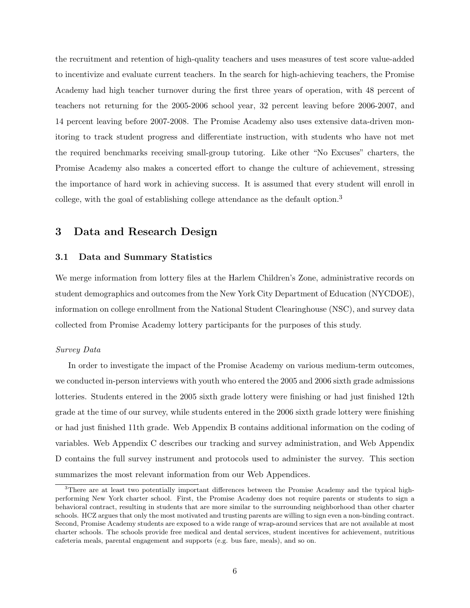the recruitment and retention of high-quality teachers and uses measures of test score value-added to incentivize and evaluate current teachers. In the search for high-achieving teachers, the Promise Academy had high teacher turnover during the first three years of operation, with 48 percent of teachers not returning for the 2005-2006 school year, 32 percent leaving before 2006-2007, and 14 percent leaving before 2007-2008. The Promise Academy also uses extensive data-driven monitoring to track student progress and differentiate instruction, with students who have not met the required benchmarks receiving small-group tutoring. Like other "No Excuses" charters, the Promise Academy also makes a concerted effort to change the culture of achievement, stressing the importance of hard work in achieving success. It is assumed that every student will enroll in college, with the goal of establishing college attendance as the default option.<sup>3</sup>

## 3 Data and Research Design

### 3.1 Data and Summary Statistics

We merge information from lottery files at the Harlem Children's Zone, administrative records on student demographics and outcomes from the New York City Department of Education (NYCDOE), information on college enrollment from the National Student Clearinghouse (NSC), and survey data collected from Promise Academy lottery participants for the purposes of this study.

### Survey Data

In order to investigate the impact of the Promise Academy on various medium-term outcomes, we conducted in-person interviews with youth who entered the 2005 and 2006 sixth grade admissions lotteries. Students entered in the 2005 sixth grade lottery were finishing or had just finished 12th grade at the time of our survey, while students entered in the 2006 sixth grade lottery were finishing or had just finished 11th grade. Web Appendix B contains additional information on the coding of variables. Web Appendix C describes our tracking and survey administration, and Web Appendix D contains the full survey instrument and protocols used to administer the survey. This section summarizes the most relevant information from our Web Appendices.

<sup>&</sup>lt;sup>3</sup>There are at least two potentially important differences between the Promise Academy and the typical highperforming New York charter school. First, the Promise Academy does not require parents or students to sign a behavioral contract, resulting in students that are more similar to the surrounding neighborhood than other charter schools. HCZ argues that only the most motivated and trusting parents are willing to sign even a non-binding contract. Second, Promise Academy students are exposed to a wide range of wrap-around services that are not available at most charter schools. The schools provide free medical and dental services, student incentives for achievement, nutritious cafeteria meals, parental engagement and supports (e.g. bus fare, meals), and so on.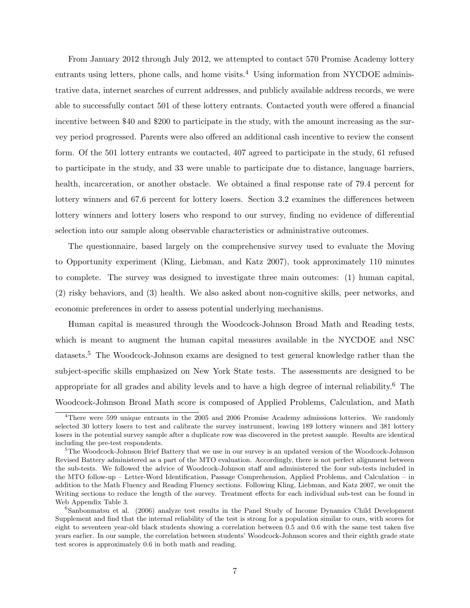From January 2012 through July 2012, we attempted to contact 570 Promise Academy lottery entrants using letters, phone calls, and home visits.<sup>4</sup> Using information from NYCDOE administrative data, internet searches of current addresses, and publicly available address records, we were able to successfully contact 501 of these lottery entrants. Contacted youth were offered a financial incentive between \$40 and \$200 to participate in the study, with the amount increasing as the survey period progressed. Parents were also offered an additional cash incentive to review the consent form. Of the 501 lottery entrants we contacted, 407 agreed to participate in the study, 61 refused to participate in the study, and 33 were unable to participate due to distance, language barriers, health, incarceration, or another obstacle. We obtained a final response rate of 79.4 percent for lottery winners and 67.6 percent for lottery losers. Section 3.2 examines the differences between lottery winners and lottery losers who respond to our survey, finding no evidence of differential selection into our sample along observable characteristics or administrative outcomes.

The questionnaire, based largely on the comprehensive survey used to evaluate the Moving to Opportunity experiment (Kling, Liebman, and Katz 2007), took approximately 110 minutes to complete. The survey was designed to investigate three main outcomes: (1) human capital, (2) risky behaviors, and (3) health. We also asked about non-cognitive skills, peer networks, and economic preferences in order to assess potential underlying mechanisms.

Human capital is measured through the Woodcock-Johnson Broad Math and Reading tests, which is meant to augment the human capital measures available in the NYCDOE and NSC datasets.<sup>5</sup> The Woodcock-Johnson exams are designed to test general knowledge rather than the subject-specific skills emphasized on New York State tests. The assessments are designed to be appropriate for all grades and ability levels and to have a high degree of internal reliability.<sup>6</sup> The Woodcock-Johnson Broad Math score is composed of Applied Problems, Calculation, and Math

<sup>4</sup>There were 599 unique entrants in the 2005 and 2006 Promise Academy admissions lotteries. We randomly selected 30 lottery losers to test and calibrate the survey instrument, leaving 189 lottery winners and 381 lottery losers in the potential survey sample after a duplicate row was discovered in the pretest sample. Results are identical including the pre-test respondents.

<sup>&</sup>lt;sup>5</sup>The Woodcock-Johnson Brief Battery that we use in our survey is an updated version of the Woodcock-Johnson Revised Battery administered as a part of the MTO evaluation. Accordingly, there is not perfect alignment between the sub-tests. We followed the advice of Woodcock-Johnson staff and administered the four sub-tests included in the MTO follow-up – Letter-Word Identification, Passage Comprehension, Applied Problems, and Calculation – in addition to the Math Fluency and Reading Fluency sections. Following Kling, Liebman, and Katz 2007, we omit the Writing sections to reduce the length of the survey. Treatment effects for each individual sub-test can be found in Web Appendix Table 3.

<sup>6</sup>Sanbonmatsu et al. (2006) analyze test results in the Panel Study of Income Dynamics Child Development Supplement and find that the internal reliability of the test is strong for a population similar to ours, with scores for eight to seventeen year-old black students showing a correlation between 0.5 and 0.6 with the same test taken five years earlier. In our sample, the correlation between students' Woodcock-Johnson scores and their eighth grade state test scores is approximately 0.6 in both math and reading.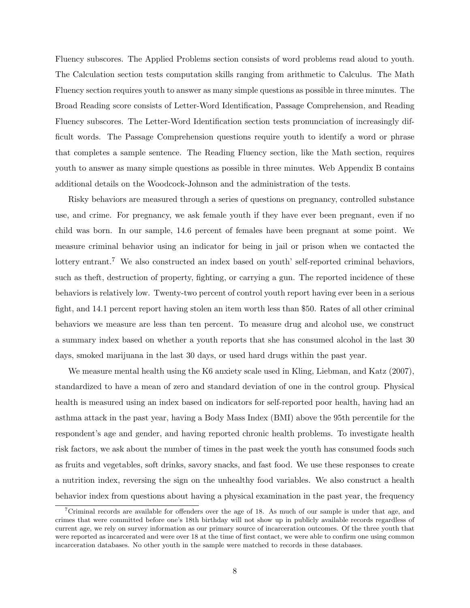Fluency subscores. The Applied Problems section consists of word problems read aloud to youth. The Calculation section tests computation skills ranging from arithmetic to Calculus. The Math Fluency section requires youth to answer as many simple questions as possible in three minutes. The Broad Reading score consists of Letter-Word Identification, Passage Comprehension, and Reading Fluency subscores. The Letter-Word Identification section tests pronunciation of increasingly difficult words. The Passage Comprehension questions require youth to identify a word or phrase that completes a sample sentence. The Reading Fluency section, like the Math section, requires youth to answer as many simple questions as possible in three minutes. Web Appendix B contains additional details on the Woodcock-Johnson and the administration of the tests.

Risky behaviors are measured through a series of questions on pregnancy, controlled substance use, and crime. For pregnancy, we ask female youth if they have ever been pregnant, even if no child was born. In our sample, 14.6 percent of females have been pregnant at some point. We measure criminal behavior using an indicator for being in jail or prison when we contacted the lottery entrant.<sup>7</sup> We also constructed an index based on youth' self-reported criminal behaviors, such as theft, destruction of property, fighting, or carrying a gun. The reported incidence of these behaviors is relatively low. Twenty-two percent of control youth report having ever been in a serious fight, and 14.1 percent report having stolen an item worth less than \$50. Rates of all other criminal behaviors we measure are less than ten percent. To measure drug and alcohol use, we construct a summary index based on whether a youth reports that she has consumed alcohol in the last 30 days, smoked marijuana in the last 30 days, or used hard drugs within the past year.

We measure mental health using the K6 anxiety scale used in Kling, Liebman, and Katz (2007), standardized to have a mean of zero and standard deviation of one in the control group. Physical health is measured using an index based on indicators for self-reported poor health, having had an asthma attack in the past year, having a Body Mass Index (BMI) above the 95th percentile for the respondent's age and gender, and having reported chronic health problems. To investigate health risk factors, we ask about the number of times in the past week the youth has consumed foods such as fruits and vegetables, soft drinks, savory snacks, and fast food. We use these responses to create a nutrition index, reversing the sign on the unhealthy food variables. We also construct a health behavior index from questions about having a physical examination in the past year, the frequency

<sup>7</sup>Criminal records are available for offenders over the age of 18. As much of our sample is under that age, and crimes that were committed before one's 18th birthday will not show up in publicly available records regardless of current age, we rely on survey information as our primary source of incarceration outcomes. Of the three youth that were reported as incarcerated and were over 18 at the time of first contact, we were able to confirm one using common incarceration databases. No other youth in the sample were matched to records in these databases.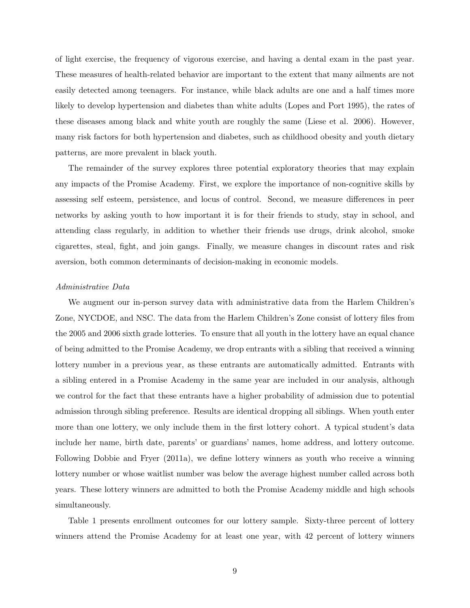of light exercise, the frequency of vigorous exercise, and having a dental exam in the past year. These measures of health-related behavior are important to the extent that many ailments are not easily detected among teenagers. For instance, while black adults are one and a half times more likely to develop hypertension and diabetes than white adults (Lopes and Port 1995), the rates of these diseases among black and white youth are roughly the same (Liese et al. 2006). However, many risk factors for both hypertension and diabetes, such as childhood obesity and youth dietary patterns, are more prevalent in black youth.

The remainder of the survey explores three potential exploratory theories that may explain any impacts of the Promise Academy. First, we explore the importance of non-cognitive skills by assessing self esteem, persistence, and locus of control. Second, we measure differences in peer networks by asking youth to how important it is for their friends to study, stay in school, and attending class regularly, in addition to whether their friends use drugs, drink alcohol, smoke cigarettes, steal, fight, and join gangs. Finally, we measure changes in discount rates and risk aversion, both common determinants of decision-making in economic models.

#### Administrative Data

We augment our in-person survey data with administrative data from the Harlem Children's Zone, NYCDOE, and NSC. The data from the Harlem Children's Zone consist of lottery files from the 2005 and 2006 sixth grade lotteries. To ensure that all youth in the lottery have an equal chance of being admitted to the Promise Academy, we drop entrants with a sibling that received a winning lottery number in a previous year, as these entrants are automatically admitted. Entrants with a sibling entered in a Promise Academy in the same year are included in our analysis, although we control for the fact that these entrants have a higher probability of admission due to potential admission through sibling preference. Results are identical dropping all siblings. When youth enter more than one lottery, we only include them in the first lottery cohort. A typical student's data include her name, birth date, parents' or guardians' names, home address, and lottery outcome. Following Dobbie and Fryer (2011a), we define lottery winners as youth who receive a winning lottery number or whose waitlist number was below the average highest number called across both years. These lottery winners are admitted to both the Promise Academy middle and high schools simultaneously.

Table 1 presents enrollment outcomes for our lottery sample. Sixty-three percent of lottery winners attend the Promise Academy for at least one year, with 42 percent of lottery winners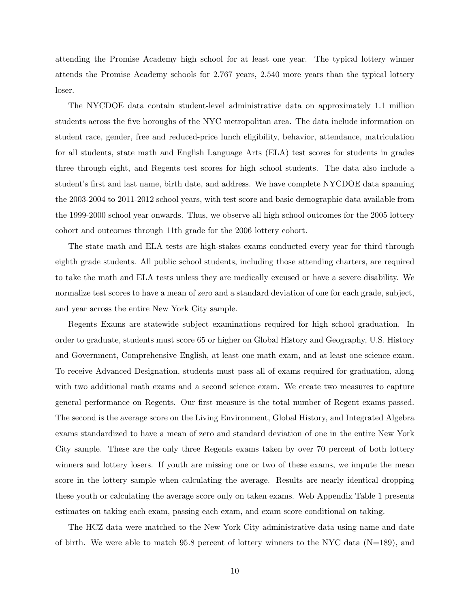attending the Promise Academy high school for at least one year. The typical lottery winner attends the Promise Academy schools for 2.767 years, 2.540 more years than the typical lottery loser.

The NYCDOE data contain student-level administrative data on approximately 1.1 million students across the five boroughs of the NYC metropolitan area. The data include information on student race, gender, free and reduced-price lunch eligibility, behavior, attendance, matriculation for all students, state math and English Language Arts (ELA) test scores for students in grades three through eight, and Regents test scores for high school students. The data also include a student's first and last name, birth date, and address. We have complete NYCDOE data spanning the 2003-2004 to 2011-2012 school years, with test score and basic demographic data available from the 1999-2000 school year onwards. Thus, we observe all high school outcomes for the 2005 lottery cohort and outcomes through 11th grade for the 2006 lottery cohort.

The state math and ELA tests are high-stakes exams conducted every year for third through eighth grade students. All public school students, including those attending charters, are required to take the math and ELA tests unless they are medically excused or have a severe disability. We normalize test scores to have a mean of zero and a standard deviation of one for each grade, subject, and year across the entire New York City sample.

Regents Exams are statewide subject examinations required for high school graduation. In order to graduate, students must score 65 or higher on Global History and Geography, U.S. History and Government, Comprehensive English, at least one math exam, and at least one science exam. To receive Advanced Designation, students must pass all of exams required for graduation, along with two additional math exams and a second science exam. We create two measures to capture general performance on Regents. Our first measure is the total number of Regent exams passed. The second is the average score on the Living Environment, Global History, and Integrated Algebra exams standardized to have a mean of zero and standard deviation of one in the entire New York City sample. These are the only three Regents exams taken by over 70 percent of both lottery winners and lottery losers. If youth are missing one or two of these exams, we impute the mean score in the lottery sample when calculating the average. Results are nearly identical dropping these youth or calculating the average score only on taken exams. Web Appendix Table 1 presents estimates on taking each exam, passing each exam, and exam score conditional on taking.

The HCZ data were matched to the New York City administrative data using name and date of birth. We were able to match 95.8 percent of lottery winners to the NYC data ( $N=189$ ), and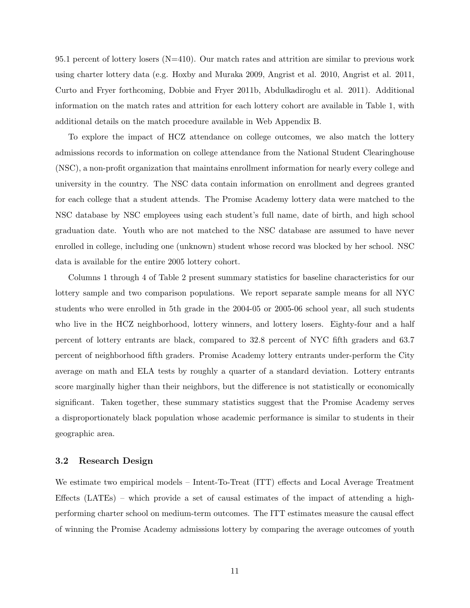95.1 percent of lottery losers  $(N=410)$ . Our match rates and attrition are similar to previous work using charter lottery data (e.g. Hoxby and Muraka 2009, Angrist et al. 2010, Angrist et al. 2011, Curto and Fryer forthcoming, Dobbie and Fryer 2011b, Abdulkadiroglu et al. 2011). Additional information on the match rates and attrition for each lottery cohort are available in Table 1, with additional details on the match procedure available in Web Appendix B.

To explore the impact of HCZ attendance on college outcomes, we also match the lottery admissions records to information on college attendance from the National Student Clearinghouse (NSC), a non-profit organization that maintains enrollment information for nearly every college and university in the country. The NSC data contain information on enrollment and degrees granted for each college that a student attends. The Promise Academy lottery data were matched to the NSC database by NSC employees using each student's full name, date of birth, and high school graduation date. Youth who are not matched to the NSC database are assumed to have never enrolled in college, including one (unknown) student whose record was blocked by her school. NSC data is available for the entire 2005 lottery cohort.

Columns 1 through 4 of Table 2 present summary statistics for baseline characteristics for our lottery sample and two comparison populations. We report separate sample means for all NYC students who were enrolled in 5th grade in the 2004-05 or 2005-06 school year, all such students who live in the HCZ neighborhood, lottery winners, and lottery losers. Eighty-four and a half percent of lottery entrants are black, compared to 32.8 percent of NYC fifth graders and 63.7 percent of neighborhood fifth graders. Promise Academy lottery entrants under-perform the City average on math and ELA tests by roughly a quarter of a standard deviation. Lottery entrants score marginally higher than their neighbors, but the difference is not statistically or economically significant. Taken together, these summary statistics suggest that the Promise Academy serves a disproportionately black population whose academic performance is similar to students in their geographic area.

### 3.2 Research Design

We estimate two empirical models – Intent-To-Treat (ITT) effects and Local Average Treatment Effects (LATEs) – which provide a set of causal estimates of the impact of attending a highperforming charter school on medium-term outcomes. The ITT estimates measure the causal effect of winning the Promise Academy admissions lottery by comparing the average outcomes of youth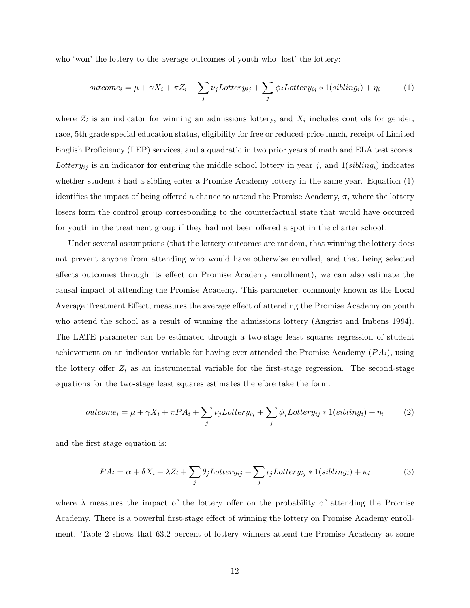who 'won' the lottery to the average outcomes of youth who 'lost' the lottery:

$$
outcome_i = \mu + \gamma X_i + \pi Z_i + \sum_j \nu_j Lottery_{ij} + \sum_j \phi_j Lottery_{ij} * 1(sibling_i) + \eta_i \tag{1}
$$

where  $Z_i$  is an indicator for winning an admissions lottery, and  $X_i$  includes controls for gender, race, 5th grade special education status, eligibility for free or reduced-price lunch, receipt of Limited English Proficiency (LEP) services, and a quadratic in two prior years of math and ELA test scores. Lottery<sub>ij</sub> is an indicator for entering the middle school lottery in year j, and  $1(sibling_i)$  indicates whether student  $i$  had a sibling enter a Promise Academy lottery in the same year. Equation  $(1)$ identifies the impact of being offered a chance to attend the Promise Academy,  $\pi$ , where the lottery losers form the control group corresponding to the counterfactual state that would have occurred for youth in the treatment group if they had not been offered a spot in the charter school.

Under several assumptions (that the lottery outcomes are random, that winning the lottery does not prevent anyone from attending who would have otherwise enrolled, and that being selected affects outcomes through its effect on Promise Academy enrollment), we can also estimate the causal impact of attending the Promise Academy. This parameter, commonly known as the Local Average Treatment Effect, measures the average effect of attending the Promise Academy on youth who attend the school as a result of winning the admissions lottery (Angrist and Imbens 1994). The LATE parameter can be estimated through a two-stage least squares regression of student achievement on an indicator variable for having ever attended the Promise Academy  $(PA_i)$ , using the lottery offer  $Z_i$  as an instrumental variable for the first-stage regression. The second-stage equations for the two-stage least squares estimates therefore take the form:

$$
outcome_i = \mu + \gamma X_i + \pi PA_i + \sum_j \nu_j Lottery_{ij} + \sum_j \phi_j Lottery_{ij} * 1(sibling_i) + \eta_i
$$
 (2)

and the first stage equation is:

$$
PA_i = \alpha + \delta X_i + \lambda Z_i + \sum_j \theta_j Lotter y_{ij} + \sum_j \iota_j Lotter y_{ij} * 1(sibling_i) + \kappa_i
$$
 (3)

where  $\lambda$  measures the impact of the lottery offer on the probability of attending the Promise Academy. There is a powerful first-stage effect of winning the lottery on Promise Academy enrollment. Table 2 shows that 63.2 percent of lottery winners attend the Promise Academy at some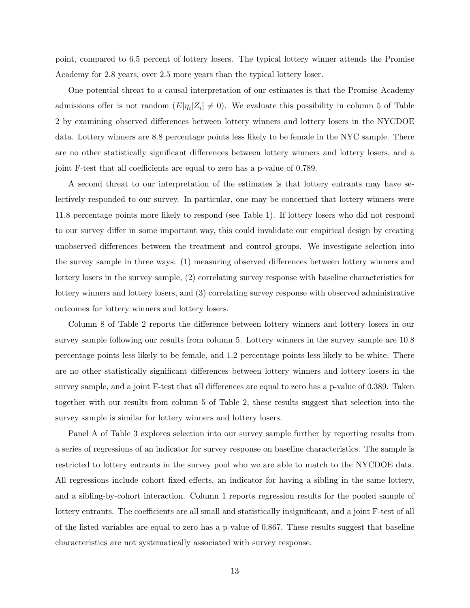point, compared to 6.5 percent of lottery losers. The typical lottery winner attends the Promise Academy for 2.8 years, over 2.5 more years than the typical lottery loser.

One potential threat to a causal interpretation of our estimates is that the Promise Academy admissions offer is not random  $(E[\eta_i|Z_i] \neq 0)$ . We evaluate this possibility in column 5 of Table 2 by examining observed differences between lottery winners and lottery losers in the NYCDOE data. Lottery winners are 8.8 percentage points less likely to be female in the NYC sample. There are no other statistically significant differences between lottery winners and lottery losers, and a joint F-test that all coefficients are equal to zero has a p-value of 0.789.

A second threat to our interpretation of the estimates is that lottery entrants may have selectively responded to our survey. In particular, one may be concerned that lottery winners were 11.8 percentage points more likely to respond (see Table 1). If lottery losers who did not respond to our survey differ in some important way, this could invalidate our empirical design by creating unobserved differences between the treatment and control groups. We investigate selection into the survey sample in three ways: (1) measuring observed differences between lottery winners and lottery losers in the survey sample, (2) correlating survey response with baseline characteristics for lottery winners and lottery losers, and (3) correlating survey response with observed administrative outcomes for lottery winners and lottery losers.

Column 8 of Table 2 reports the difference between lottery winners and lottery losers in our survey sample following our results from column 5. Lottery winners in the survey sample are 10.8 percentage points less likely to be female, and 1.2 percentage points less likely to be white. There are no other statistically significant differences between lottery winners and lottery losers in the survey sample, and a joint F-test that all differences are equal to zero has a p-value of 0.389. Taken together with our results from column 5 of Table 2, these results suggest that selection into the survey sample is similar for lottery winners and lottery losers.

Panel A of Table 3 explores selection into our survey sample further by reporting results from a series of regressions of an indicator for survey response on baseline characteristics. The sample is restricted to lottery entrants in the survey pool who we are able to match to the NYCDOE data. All regressions include cohort fixed effects, an indicator for having a sibling in the same lottery, and a sibling-by-cohort interaction. Column 1 reports regression results for the pooled sample of lottery entrants. The coefficients are all small and statistically insignificant, and a joint F-test of all of the listed variables are equal to zero has a p-value of 0.867. These results suggest that baseline characteristics are not systematically associated with survey response.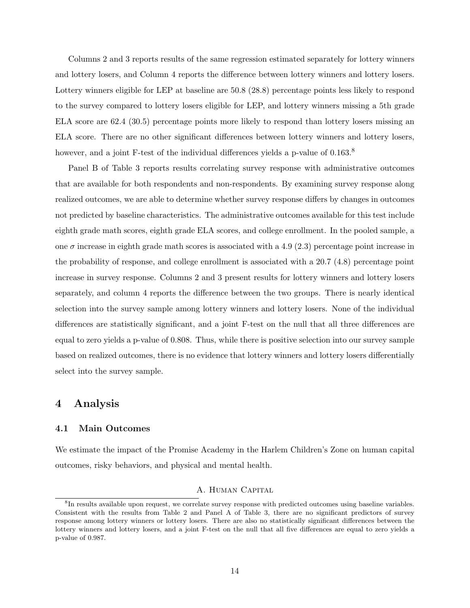Columns 2 and 3 reports results of the same regression estimated separately for lottery winners and lottery losers, and Column 4 reports the difference between lottery winners and lottery losers. Lottery winners eligible for LEP at baseline are 50.8 (28.8) percentage points less likely to respond to the survey compared to lottery losers eligible for LEP, and lottery winners missing a 5th grade ELA score are 62.4 (30.5) percentage points more likely to respond than lottery losers missing an ELA score. There are no other significant differences between lottery winners and lottery losers, however, and a joint F-test of the individual differences yields a p-value of  $0.163$ .<sup>8</sup>

Panel B of Table 3 reports results correlating survey response with administrative outcomes that are available for both respondents and non-respondents. By examining survey response along realized outcomes, we are able to determine whether survey response differs by changes in outcomes not predicted by baseline characteristics. The administrative outcomes available for this test include eighth grade math scores, eighth grade ELA scores, and college enrollment. In the pooled sample, a one  $\sigma$  increase in eighth grade math scores is associated with a 4.9 (2.3) percentage point increase in the probability of response, and college enrollment is associated with a 20.7 (4.8) percentage point increase in survey response. Columns 2 and 3 present results for lottery winners and lottery losers separately, and column 4 reports the difference between the two groups. There is nearly identical selection into the survey sample among lottery winners and lottery losers. None of the individual differences are statistically significant, and a joint F-test on the null that all three differences are equal to zero yields a p-value of 0.808. Thus, while there is positive selection into our survey sample based on realized outcomes, there is no evidence that lottery winners and lottery losers differentially select into the survey sample.

## 4 Analysis

## 4.1 Main Outcomes

We estimate the impact of the Promise Academy in the Harlem Children's Zone on human capital outcomes, risky behaviors, and physical and mental health.

## A. Human Capital

<sup>&</sup>lt;sup>8</sup>In results available upon request, we correlate survey response with predicted outcomes using baseline variables. Consistent with the results from Table 2 and Panel A of Table 3, there are no significant predictors of survey response among lottery winners or lottery losers. There are also no statistically significant differences between the lottery winners and lottery losers, and a joint F-test on the null that all five differences are equal to zero yields a p-value of 0.987.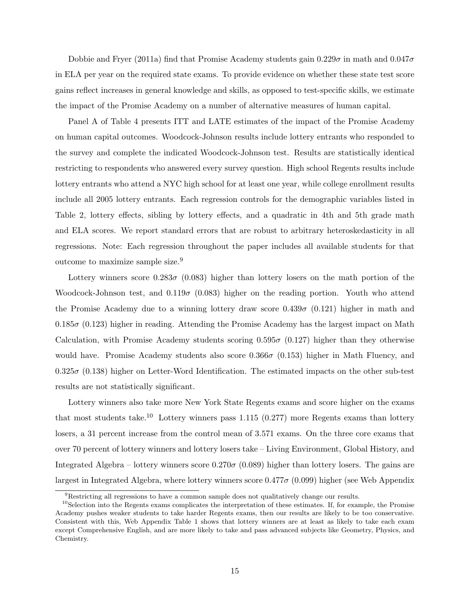Dobbie and Fryer (2011a) find that Promise Academy students gain  $0.229\sigma$  in math and  $0.047\sigma$ in ELA per year on the required state exams. To provide evidence on whether these state test score gains reflect increases in general knowledge and skills, as opposed to test-specific skills, we estimate the impact of the Promise Academy on a number of alternative measures of human capital.

Panel A of Table 4 presents ITT and LATE estimates of the impact of the Promise Academy on human capital outcomes. Woodcock-Johnson results include lottery entrants who responded to the survey and complete the indicated Woodcock-Johnson test. Results are statistically identical restricting to respondents who answered every survey question. High school Regents results include lottery entrants who attend a NYC high school for at least one year, while college enrollment results include all 2005 lottery entrants. Each regression controls for the demographic variables listed in Table 2, lottery effects, sibling by lottery effects, and a quadratic in 4th and 5th grade math and ELA scores. We report standard errors that are robust to arbitrary heteroskedasticity in all regressions. Note: Each regression throughout the paper includes all available students for that outcome to maximize sample size.<sup>9</sup>

Lottery winners score 0.283 $\sigma$  (0.083) higher than lottery losers on the math portion of the Woodcock-Johnson test, and  $0.119\sigma$  (0.083) higher on the reading portion. Youth who attend the Promise Academy due to a winning lottery draw score  $0.439\sigma$  (0.121) higher in math and  $0.185\sigma$  (0.123) higher in reading. Attending the Promise Academy has the largest impact on Math Calculation, with Promise Academy students scoring  $0.595\sigma$  (0.127) higher than they otherwise would have. Promise Academy students also score  $0.366\sigma$  (0.153) higher in Math Fluency, and  $0.325\sigma$   $(0.138)$  higher on Letter-Word Identification. The estimated impacts on the other sub-test results are not statistically significant.

Lottery winners also take more New York State Regents exams and score higher on the exams that most students take.<sup>10</sup> Lottery winners pass 1.115 (0.277) more Regents exams than lottery losers, a 31 percent increase from the control mean of 3.571 exams. On the three core exams that over 70 percent of lottery winners and lottery losers take – Living Environment, Global History, and Integrated Algebra – lottery winners score  $0.270\sigma$  (0.089) higher than lottery losers. The gains are largest in Integrated Algebra, where lottery winners score  $0.477\sigma$  (0.099) higher (see Web Appendix

<sup>9</sup>Restricting all regressions to have a common sample does not qualitatively change our results.

 $10S<sub>10</sub>$  Selection into the Regents exams complicates the interpretation of these estimates. If, for example, the Promise Academy pushes weaker students to take harder Regents exams, then our results are likely to be too conservative. Consistent with this, Web Appendix Table 1 shows that lottery winners are at least as likely to take each exam except Comprehensive English, and are more likely to take and pass advanced subjects like Geometry, Physics, and Chemistry.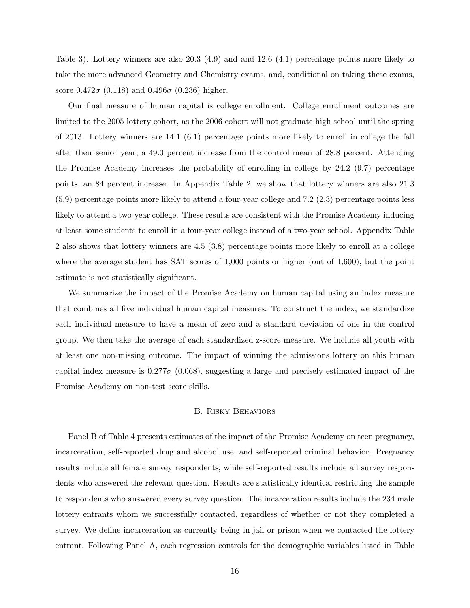Table 3). Lottery winners are also 20.3 (4.9) and and 12.6 (4.1) percentage points more likely to take the more advanced Geometry and Chemistry exams, and, conditional on taking these exams, score  $0.472\sigma$  (0.118) and  $0.496\sigma$  (0.236) higher.

Our final measure of human capital is college enrollment. College enrollment outcomes are limited to the 2005 lottery cohort, as the 2006 cohort will not graduate high school until the spring of 2013. Lottery winners are 14.1 (6.1) percentage points more likely to enroll in college the fall after their senior year, a 49.0 percent increase from the control mean of 28.8 percent. Attending the Promise Academy increases the probability of enrolling in college by 24.2 (9.7) percentage points, an 84 percent increase. In Appendix Table 2, we show that lottery winners are also 21.3 (5.9) percentage points more likely to attend a four-year college and 7.2 (2.3) percentage points less likely to attend a two-year college. These results are consistent with the Promise Academy inducing at least some students to enroll in a four-year college instead of a two-year school. Appendix Table 2 also shows that lottery winners are 4.5 (3.8) percentage points more likely to enroll at a college where the average student has SAT scores of 1,000 points or higher (out of 1,600), but the point estimate is not statistically significant.

We summarize the impact of the Promise Academy on human capital using an index measure that combines all five individual human capital measures. To construct the index, we standardize each individual measure to have a mean of zero and a standard deviation of one in the control group. We then take the average of each standardized z-score measure. We include all youth with at least one non-missing outcome. The impact of winning the admissions lottery on this human capital index measure is  $0.277\sigma$  (0.068), suggesting a large and precisely estimated impact of the Promise Academy on non-test score skills.

### B. Risky Behaviors

Panel B of Table 4 presents estimates of the impact of the Promise Academy on teen pregnancy, incarceration, self-reported drug and alcohol use, and self-reported criminal behavior. Pregnancy results include all female survey respondents, while self-reported results include all survey respondents who answered the relevant question. Results are statistically identical restricting the sample to respondents who answered every survey question. The incarceration results include the 234 male lottery entrants whom we successfully contacted, regardless of whether or not they completed a survey. We define incarceration as currently being in jail or prison when we contacted the lottery entrant. Following Panel A, each regression controls for the demographic variables listed in Table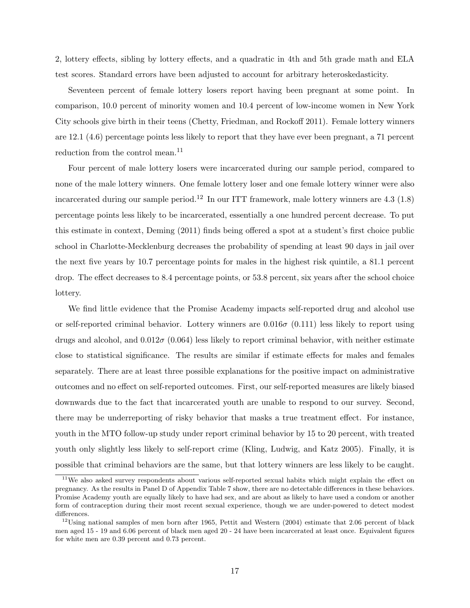2, lottery effects, sibling by lottery effects, and a quadratic in 4th and 5th grade math and ELA test scores. Standard errors have been adjusted to account for arbitrary heteroskedasticity.

Seventeen percent of female lottery losers report having been pregnant at some point. In comparison, 10.0 percent of minority women and 10.4 percent of low-income women in New York City schools give birth in their teens (Chetty, Friedman, and Rockoff 2011). Female lottery winners are 12.1 (4.6) percentage points less likely to report that they have ever been pregnant, a 71 percent reduction from the control mean.<sup>11</sup>

Four percent of male lottery losers were incarcerated during our sample period, compared to none of the male lottery winners. One female lottery loser and one female lottery winner were also incarcerated during our sample period.<sup>12</sup> In our ITT framework, male lottery winners are  $4.3$  (1.8) percentage points less likely to be incarcerated, essentially a one hundred percent decrease. To put this estimate in context, Deming (2011) finds being offered a spot at a student's first choice public school in Charlotte-Mecklenburg decreases the probability of spending at least 90 days in jail over the next five years by 10.7 percentage points for males in the highest risk quintile, a 81.1 percent drop. The effect decreases to 8.4 percentage points, or 53.8 percent, six years after the school choice lottery.

We find little evidence that the Promise Academy impacts self-reported drug and alcohol use or self-reported criminal behavior. Lottery winners are  $0.016\sigma$  (0.111) less likely to report using drugs and alcohol, and  $0.012\sigma$  (0.064) less likely to report criminal behavior, with neither estimate close to statistical significance. The results are similar if estimate effects for males and females separately. There are at least three possible explanations for the positive impact on administrative outcomes and no effect on self-reported outcomes. First, our self-reported measures are likely biased downwards due to the fact that incarcerated youth are unable to respond to our survey. Second, there may be underreporting of risky behavior that masks a true treatment effect. For instance, youth in the MTO follow-up study under report criminal behavior by 15 to 20 percent, with treated youth only slightly less likely to self-report crime (Kling, Ludwig, and Katz 2005). Finally, it is possible that criminal behaviors are the same, but that lottery winners are less likely to be caught.

<sup>&</sup>lt;sup>11</sup>We also asked survey respondents about various self-reported sexual habits which might explain the effect on pregnancy. As the results in Panel D of Appendix Table 7 show, there are no detectable differences in these behaviors. Promise Academy youth are equally likely to have had sex, and are about as likely to have used a condom or another form of contraception during their most recent sexual experience, though we are under-powered to detect modest differences.

 $12$ Using national samples of men born after 1965, Pettit and Western (2004) estimate that 2.06 percent of black men aged 15 - 19 and 6.06 percent of black men aged 20 - 24 have been incarcerated at least once. Equivalent figures for white men are 0.39 percent and 0.73 percent.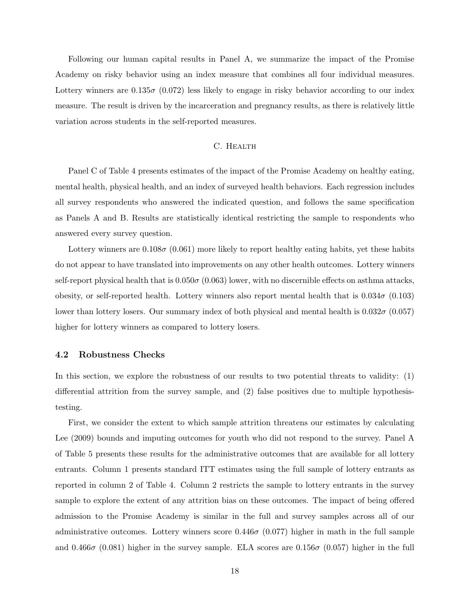Following our human capital results in Panel A, we summarize the impact of the Promise Academy on risky behavior using an index measure that combines all four individual measures. Lottery winners are  $0.135\sigma$  (0.072) less likely to engage in risky behavior according to our index measure. The result is driven by the incarceration and pregnancy results, as there is relatively little variation across students in the self-reported measures.

## C. HEALTH

Panel C of Table 4 presents estimates of the impact of the Promise Academy on healthy eating, mental health, physical health, and an index of surveyed health behaviors. Each regression includes all survey respondents who answered the indicated question, and follows the same specification as Panels A and B. Results are statistically identical restricting the sample to respondents who answered every survey question.

Lottery winners are  $0.108\sigma$  (0.061) more likely to report healthy eating habits, yet these habits do not appear to have translated into improvements on any other health outcomes. Lottery winners self-report physical health that is  $0.050\sigma$  (0.063) lower, with no discernible effects on asthma attacks, obesity, or self-reported health. Lottery winners also report mental health that is  $0.034\sigma$  (0.103) lower than lottery losers. Our summary index of both physical and mental health is  $0.032\sigma(0.057)$ higher for lottery winners as compared to lottery losers.

### 4.2 Robustness Checks

In this section, we explore the robustness of our results to two potential threats to validity: (1) differential attrition from the survey sample, and (2) false positives due to multiple hypothesistesting.

First, we consider the extent to which sample attrition threatens our estimates by calculating Lee (2009) bounds and imputing outcomes for youth who did not respond to the survey. Panel A of Table 5 presents these results for the administrative outcomes that are available for all lottery entrants. Column 1 presents standard ITT estimates using the full sample of lottery entrants as reported in column 2 of Table 4. Column 2 restricts the sample to lottery entrants in the survey sample to explore the extent of any attrition bias on these outcomes. The impact of being offered admission to the Promise Academy is similar in the full and survey samples across all of our administrative outcomes. Lottery winners score  $0.446\sigma$  (0.077) higher in math in the full sample and 0.466 $\sigma$  (0.081) higher in the survey sample. ELA scores are 0.156 $\sigma$  (0.057) higher in the full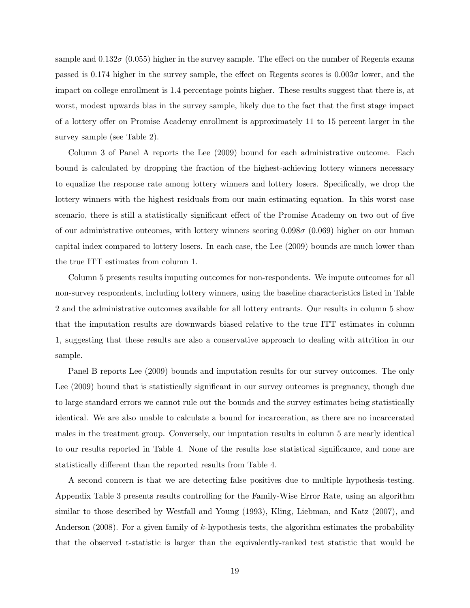sample and  $0.132\sigma$  (0.055) higher in the survey sample. The effect on the number of Regents exams passed is 0.174 higher in the survey sample, the effect on Regents scores is  $0.003\sigma$  lower, and the impact on college enrollment is 1.4 percentage points higher. These results suggest that there is, at worst, modest upwards bias in the survey sample, likely due to the fact that the first stage impact of a lottery offer on Promise Academy enrollment is approximately 11 to 15 percent larger in the survey sample (see Table 2).

Column 3 of Panel A reports the Lee (2009) bound for each administrative outcome. Each bound is calculated by dropping the fraction of the highest-achieving lottery winners necessary to equalize the response rate among lottery winners and lottery losers. Specifically, we drop the lottery winners with the highest residuals from our main estimating equation. In this worst case scenario, there is still a statistically significant effect of the Promise Academy on two out of five of our administrative outcomes, with lottery winners scoring  $0.098\sigma$  (0.069) higher on our human capital index compared to lottery losers. In each case, the Lee (2009) bounds are much lower than the true ITT estimates from column 1.

Column 5 presents results imputing outcomes for non-respondents. We impute outcomes for all non-survey respondents, including lottery winners, using the baseline characteristics listed in Table 2 and the administrative outcomes available for all lottery entrants. Our results in column 5 show that the imputation results are downwards biased relative to the true ITT estimates in column 1, suggesting that these results are also a conservative approach to dealing with attrition in our sample.

Panel B reports Lee (2009) bounds and imputation results for our survey outcomes. The only Lee (2009) bound that is statistically significant in our survey outcomes is pregnancy, though due to large standard errors we cannot rule out the bounds and the survey estimates being statistically identical. We are also unable to calculate a bound for incarceration, as there are no incarcerated males in the treatment group. Conversely, our imputation results in column 5 are nearly identical to our results reported in Table 4. None of the results lose statistical significance, and none are statistically different than the reported results from Table 4.

A second concern is that we are detecting false positives due to multiple hypothesis-testing. Appendix Table 3 presents results controlling for the Family-Wise Error Rate, using an algorithm similar to those described by Westfall and Young (1993), Kling, Liebman, and Katz (2007), and Anderson  $(2008)$ . For a given family of k-hypothesis tests, the algorithm estimates the probability that the observed t-statistic is larger than the equivalently-ranked test statistic that would be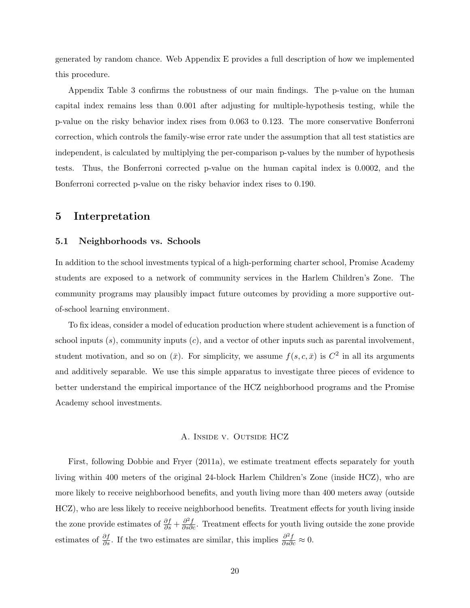generated by random chance. Web Appendix E provides a full description of how we implemented this procedure.

Appendix Table 3 confirms the robustness of our main findings. The p-value on the human capital index remains less than 0.001 after adjusting for multiple-hypothesis testing, while the p-value on the risky behavior index rises from 0.063 to 0.123. The more conservative Bonferroni correction, which controls the family-wise error rate under the assumption that all test statistics are independent, is calculated by multiplying the per-comparison p-values by the number of hypothesis tests. Thus, the Bonferroni corrected p-value on the human capital index is 0.0002, and the Bonferroni corrected p-value on the risky behavior index rises to 0.190.

## 5 Interpretation

### 5.1 Neighborhoods vs. Schools

In addition to the school investments typical of a high-performing charter school, Promise Academy students are exposed to a network of community services in the Harlem Children's Zone. The community programs may plausibly impact future outcomes by providing a more supportive outof-school learning environment.

To fix ideas, consider a model of education production where student achievement is a function of school inputs  $(s)$ , community inputs  $(c)$ , and a vector of other inputs such as parental involvement, student motivation, and so on  $(\bar{x})$ . For simplicity, we assume  $f(s, c, \bar{x})$  is  $C^2$  in all its arguments and additively separable. We use this simple apparatus to investigate three pieces of evidence to better understand the empirical importance of the HCZ neighborhood programs and the Promise Academy school investments.

#### A. Inside v. Outside HCZ

First, following Dobbie and Fryer (2011a), we estimate treatment effects separately for youth living within 400 meters of the original 24-block Harlem Children's Zone (inside HCZ), who are more likely to receive neighborhood benefits, and youth living more than 400 meters away (outside HCZ), who are less likely to receive neighborhood benefits. Treatment effects for youth living inside the zone provide estimates of  $\frac{\partial f}{\partial s} + \frac{\partial^2 f}{\partial s \partial c}$ . Treatment effects for youth living outside the zone provide estimates of  $\frac{\partial f}{\partial s}$ . If the two estimates are similar, this implies  $\frac{\partial^2 f}{\partial s \partial c} \approx 0$ .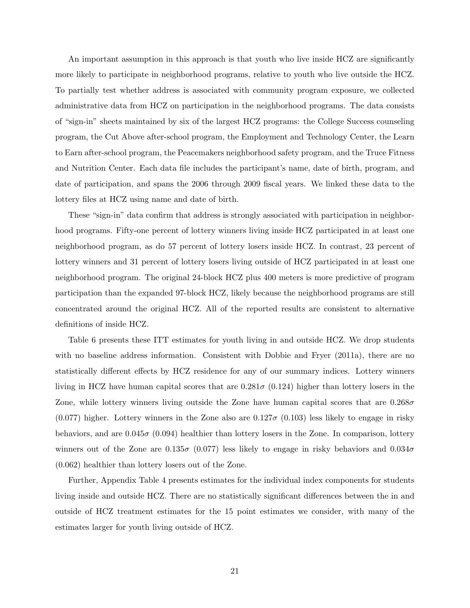An important assumption in this approach is that youth who live inside HCZ are significantly more likely to participate in neighborhood programs, relative to youth who live outside the HCZ. To partially test whether address is associated with community program exposure, we collected administrative data from HCZ on participation in the neighborhood programs. The data consists of "sign-in" sheets maintained by six of the largest HCZ programs: the College Success counseling program, the Cut Above after-school program, the Employment and Technology Center, the Learn to Earn after-school program, the Peacemakers neighborhood safety program, and the Truce Fitness and Nutrition Center. Each data file includes the participant's name, date of birth, program, and date of participation, and spans the 2006 through 2009 fiscal years. We linked these data to the lottery files at HCZ using name and date of birth.

These "sign-in" data confirm that address is strongly associated with participation in neighborhood programs. Fifty-one percent of lottery winners living inside HCZ participated in at least one neighborhood program, as do 57 percent of lottery losers inside HCZ. In contrast, 23 percent of lottery winners and 31 percent of lottery losers living outside of HCZ participated in at least one neighborhood program. The original 24-block HCZ plus 400 meters is more predictive of program participation than the expanded 97-block HCZ, likely because the neighborhood programs are still concentrated around the original HCZ. All of the reported results are consistent to alternative definitions of inside HCZ.

Table 6 presents these ITT estimates for youth living in and outside HCZ. We drop students with no baseline address information. Consistent with Dobbie and Fryer (2011a), there are no statistically different effects by HCZ residence for any of our summary indices. Lottery winners living in HCZ have human capital scores that are  $0.281\sigma$  (0.124) higher than lottery losers in the Zone, while lottery winners living outside the Zone have human capital scores that are  $0.268\sigma$  $(0.077)$  higher. Lottery winners in the Zone also are  $0.127\sigma$   $(0.103)$  less likely to engage in risky behaviors, and are  $0.045\sigma$  (0.094) healthier than lottery losers in the Zone. In comparison, lottery winners out of the Zone are  $0.135\sigma$  (0.077) less likely to engage in risky behaviors and  $0.034\sigma$ (0.062) healthier than lottery losers out of the Zone.

Further, Appendix Table 4 presents estimates for the individual index components for students living inside and outside HCZ. There are no statistically significant differences between the in and outside of HCZ treatment estimates for the 15 point estimates we consider, with many of the estimates larger for youth living outside of HCZ.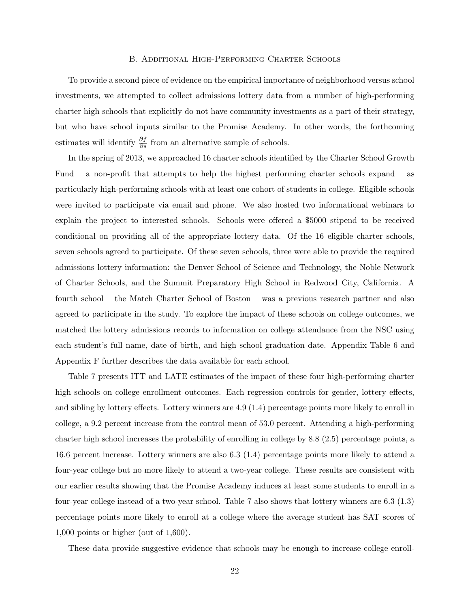### B. Additional High-Performing Charter Schools

To provide a second piece of evidence on the empirical importance of neighborhood versus school investments, we attempted to collect admissions lottery data from a number of high-performing charter high schools that explicitly do not have community investments as a part of their strategy, but who have school inputs similar to the Promise Academy. In other words, the forthcoming estimates will identify  $\frac{\partial f}{\partial s}$  from an alternative sample of schools.

In the spring of 2013, we approached 16 charter schools identified by the Charter School Growth Fund – a non-profit that attempts to help the highest performing charter schools expand – as particularly high-performing schools with at least one cohort of students in college. Eligible schools were invited to participate via email and phone. We also hosted two informational webinars to explain the project to interested schools. Schools were offered a \$5000 stipend to be received conditional on providing all of the appropriate lottery data. Of the 16 eligible charter schools, seven schools agreed to participate. Of these seven schools, three were able to provide the required admissions lottery information: the Denver School of Science and Technology, the Noble Network of Charter Schools, and the Summit Preparatory High School in Redwood City, California. A fourth school – the Match Charter School of Boston – was a previous research partner and also agreed to participate in the study. To explore the impact of these schools on college outcomes, we matched the lottery admissions records to information on college attendance from the NSC using each student's full name, date of birth, and high school graduation date. Appendix Table 6 and Appendix F further describes the data available for each school.

Table 7 presents ITT and LATE estimates of the impact of these four high-performing charter high schools on college enrollment outcomes. Each regression controls for gender, lottery effects, and sibling by lottery effects. Lottery winners are 4.9 (1.4) percentage points more likely to enroll in college, a 9.2 percent increase from the control mean of 53.0 percent. Attending a high-performing charter high school increases the probability of enrolling in college by 8.8 (2.5) percentage points, a 16.6 percent increase. Lottery winners are also 6.3 (1.4) percentage points more likely to attend a four-year college but no more likely to attend a two-year college. These results are consistent with our earlier results showing that the Promise Academy induces at least some students to enroll in a four-year college instead of a two-year school. Table 7 also shows that lottery winners are 6.3 (1.3) percentage points more likely to enroll at a college where the average student has SAT scores of 1,000 points or higher (out of 1,600).

These data provide suggestive evidence that schools may be enough to increase college enroll-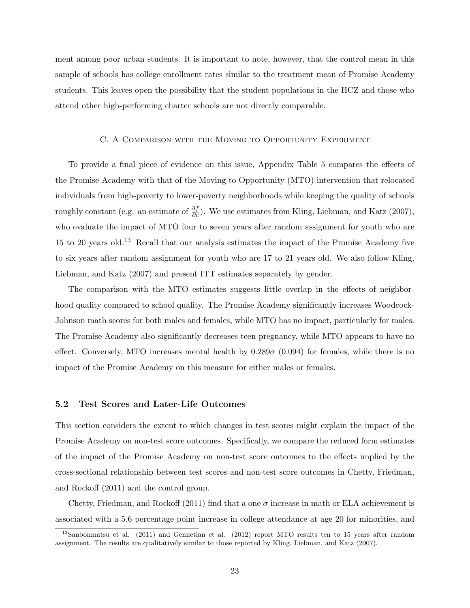ment among poor urban students. It is important to note, however, that the control mean in this sample of schools has college enrollment rates similar to the treatment mean of Promise Academy students. This leaves open the possibility that the student populations in the HCZ and those who attend other high-performing charter schools are not directly comparable.

### C. A Comparison with the Moving to Opportunity Experiment

To provide a final piece of evidence on this issue, Appendix Table 5 compares the effects of the Promise Academy with that of the Moving to Opportunity (MTO) intervention that relocated individuals from high-poverty to lower-poverty neighborhoods while keeping the quality of schools roughly constant (e.g. an estimate of  $\frac{\partial f}{\partial c}$ ). We use estimates from Kling, Liebman, and Katz (2007), who evaluate the impact of MTO four to seven years after random assignment for youth who are 15 to 20 years old.<sup>13</sup> Recall that our analysis estimates the impact of the Promise Academy five to six years after random assignment for youth who are 17 to 21 years old. We also follow Kling, Liebman, and Katz (2007) and present ITT estimates separately by gender.

The comparison with the MTO estimates suggests little overlap in the effects of neighborhood quality compared to school quality. The Promise Academy significantly increases Woodcock-Johnson math scores for both males and females, while MTO has no impact, particularly for males. The Promise Academy also significantly decreases teen pregnancy, while MTO appears to have no effect. Conversely, MTO increases mental health by  $0.289\sigma$  (0.094) for females, while there is no impact of the Promise Academy on this measure for either males or females.

### 5.2 Test Scores and Later-Life Outcomes

This section considers the extent to which changes in test scores might explain the impact of the Promise Academy on non-test score outcomes. Specifically, we compare the reduced form estimates of the impact of the Promise Academy on non-test score outcomes to the effects implied by the cross-sectional relationship between test scores and non-test score outcomes in Chetty, Friedman, and Rockoff (2011) and the control group.

Chetty, Friedman, and Rockoff (2011) find that a one  $\sigma$  increase in math or ELA achievement is associated with a 5.6 percentage point increase in college attendance at age 20 for minorities, and

<sup>13</sup>Sanbonmatsu et al. (2011) and Gennetian et al. (2012) report MTO results ten to 15 years after random assignment. The results are qualitatively similar to those reported by Kling, Liebman, and Katz (2007).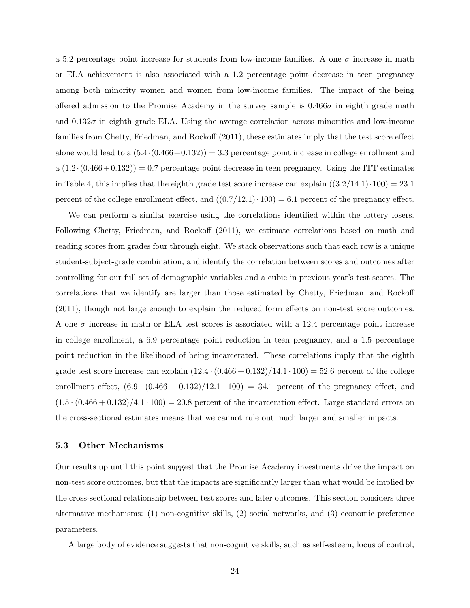a 5.2 percentage point increase for students from low-income families. A one  $\sigma$  increase in math or ELA achievement is also associated with a 1.2 percentage point decrease in teen pregnancy among both minority women and women from low-income families. The impact of the being offered admission to the Promise Academy in the survey sample is  $0.466\sigma$  in eighth grade math and  $0.132\sigma$  in eighth grade ELA. Using the average correlation across minorities and low-income families from Chetty, Friedman, and Rockoff (2011), these estimates imply that the test score effect alone would lead to a  $(5.4 \cdot (0.466 + 0.132)) = 3.3$  percentage point increase in college enrollment and a  $(1.2 \cdot (0.466 + 0.132)) = 0.7$  percentage point decrease in teen pregnancy. Using the ITT estimates in Table 4, this implies that the eighth grade test score increase can explain  $((3.2/14.1)\cdot100) = 23.1$ percent of the college enrollment effect, and  $((0.7/12.1)\cdot 100) = 6.1$  percent of the pregnancy effect.

We can perform a similar exercise using the correlations identified within the lottery losers. Following Chetty, Friedman, and Rockoff (2011), we estimate correlations based on math and reading scores from grades four through eight. We stack observations such that each row is a unique student-subject-grade combination, and identify the correlation between scores and outcomes after controlling for our full set of demographic variables and a cubic in previous year's test scores. The correlations that we identify are larger than those estimated by Chetty, Friedman, and Rockoff (2011), though not large enough to explain the reduced form effects on non-test score outcomes. A one  $\sigma$  increase in math or ELA test scores is associated with a 12.4 percentage point increase in college enrollment, a 6.9 percentage point reduction in teen pregnancy, and a 1.5 percentage point reduction in the likelihood of being incarcerated. These correlations imply that the eighth grade test score increase can explain  $(12.4 \cdot (0.466 + 0.132)/14.1 \cdot 100) = 52.6$  percent of the college enrollment effect,  $(6.9 \cdot (0.466 + 0.132)/12.1 \cdot 100) = 34.1$  percent of the pregnancy effect, and  $(1.5 \cdot (0.466 + 0.132)/4.1 \cdot 100) = 20.8$  percent of the incarceration effect. Large standard errors on the cross-sectional estimates means that we cannot rule out much larger and smaller impacts.

### 5.3 Other Mechanisms

Our results up until this point suggest that the Promise Academy investments drive the impact on non-test score outcomes, but that the impacts are significantly larger than what would be implied by the cross-sectional relationship between test scores and later outcomes. This section considers three alternative mechanisms: (1) non-cognitive skills, (2) social networks, and (3) economic preference parameters.

A large body of evidence suggests that non-cognitive skills, such as self-esteem, locus of control,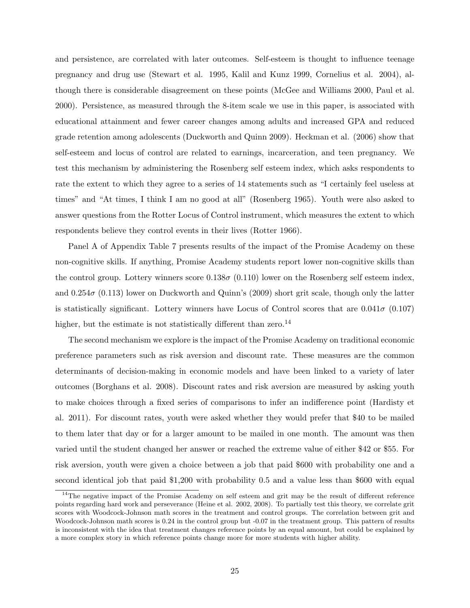and persistence, are correlated with later outcomes. Self-esteem is thought to influence teenage pregnancy and drug use (Stewart et al. 1995, Kalil and Kunz 1999, Cornelius et al. 2004), although there is considerable disagreement on these points (McGee and Williams 2000, Paul et al. 2000). Persistence, as measured through the 8-item scale we use in this paper, is associated with educational attainment and fewer career changes among adults and increased GPA and reduced grade retention among adolescents (Duckworth and Quinn 2009). Heckman et al. (2006) show that self-esteem and locus of control are related to earnings, incarceration, and teen pregnancy. We test this mechanism by administering the Rosenberg self esteem index, which asks respondents to rate the extent to which they agree to a series of 14 statements such as "I certainly feel useless at times" and "At times, I think I am no good at all" (Rosenberg 1965). Youth were also asked to answer questions from the Rotter Locus of Control instrument, which measures the extent to which respondents believe they control events in their lives (Rotter 1966).

Panel A of Appendix Table 7 presents results of the impact of the Promise Academy on these non-cognitive skills. If anything, Promise Academy students report lower non-cognitive skills than the control group. Lottery winners score  $0.138\sigma$  (0.110) lower on the Rosenberg self esteem index, and  $0.254\sigma$  (0.113) lower on Duckworth and Quinn's (2009) short grit scale, though only the latter is statistically significant. Lottery winners have Locus of Control scores that are  $0.041\sigma$  (0.107) higher, but the estimate is not statistically different than zero.<sup>14</sup>

The second mechanism we explore is the impact of the Promise Academy on traditional economic preference parameters such as risk aversion and discount rate. These measures are the common determinants of decision-making in economic models and have been linked to a variety of later outcomes (Borghans et al. 2008). Discount rates and risk aversion are measured by asking youth to make choices through a fixed series of comparisons to infer an indifference point (Hardisty et al. 2011). For discount rates, youth were asked whether they would prefer that \$40 to be mailed to them later that day or for a larger amount to be mailed in one month. The amount was then varied until the student changed her answer or reached the extreme value of either \$42 or \$55. For risk aversion, youth were given a choice between a job that paid \$600 with probability one and a second identical job that paid \$1,200 with probability 0.5 and a value less than \$600 with equal

<sup>&</sup>lt;sup>14</sup>The negative impact of the Promise Academy on self esteem and grit may be the result of different reference points regarding hard work and perseverance (Heine et al. 2002, 2008). To partially test this theory, we correlate grit scores with Woodcock-Johnson math scores in the treatment and control groups. The correlation between grit and Woodcock-Johnson math scores is 0.24 in the control group but -0.07 in the treatment group. This pattern of results is inconsistent with the idea that treatment changes reference points by an equal amount, but could be explained by a more complex story in which reference points change more for more students with higher ability.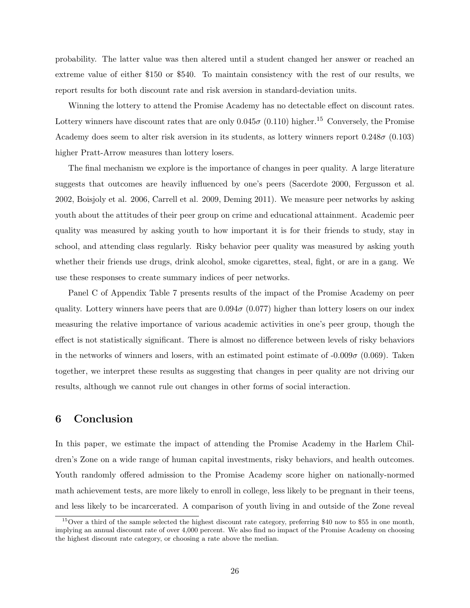probability. The latter value was then altered until a student changed her answer or reached an extreme value of either \$150 or \$540. To maintain consistency with the rest of our results, we report results for both discount rate and risk aversion in standard-deviation units.

Winning the lottery to attend the Promise Academy has no detectable effect on discount rates. Lottery winners have discount rates that are only  $0.045\sigma$  (0.110) higher.<sup>15</sup> Conversely, the Promise Academy does seem to alter risk aversion in its students, as lottery winners report  $0.248\sigma$  (0.103) higher Pratt-Arrow measures than lottery losers.

The final mechanism we explore is the importance of changes in peer quality. A large literature suggests that outcomes are heavily influenced by one's peers (Sacerdote 2000, Fergusson et al. 2002, Boisjoly et al. 2006, Carrell et al. 2009, Deming 2011). We measure peer networks by asking youth about the attitudes of their peer group on crime and educational attainment. Academic peer quality was measured by asking youth to how important it is for their friends to study, stay in school, and attending class regularly. Risky behavior peer quality was measured by asking youth whether their friends use drugs, drink alcohol, smoke cigarettes, steal, fight, or are in a gang. We use these responses to create summary indices of peer networks.

Panel C of Appendix Table 7 presents results of the impact of the Promise Academy on peer quality. Lottery winners have peers that are  $0.094\sigma$  (0.077) higher than lottery losers on our index measuring the relative importance of various academic activities in one's peer group, though the effect is not statistically significant. There is almost no difference between levels of risky behaviors in the networks of winners and losers, with an estimated point estimate of  $-0.009\sigma$  (0.069). Taken together, we interpret these results as suggesting that changes in peer quality are not driving our results, although we cannot rule out changes in other forms of social interaction.

## 6 Conclusion

In this paper, we estimate the impact of attending the Promise Academy in the Harlem Children's Zone on a wide range of human capital investments, risky behaviors, and health outcomes. Youth randomly offered admission to the Promise Academy score higher on nationally-normed math achievement tests, are more likely to enroll in college, less likely to be pregnant in their teens, and less likely to be incarcerated. A comparison of youth living in and outside of the Zone reveal

<sup>&</sup>lt;sup>15</sup>Over a third of the sample selected the highest discount rate category, preferring \$40 now to \$55 in one month, implying an annual discount rate of over 4,000 percent. We also find no impact of the Promise Academy on choosing the highest discount rate category, or choosing a rate above the median.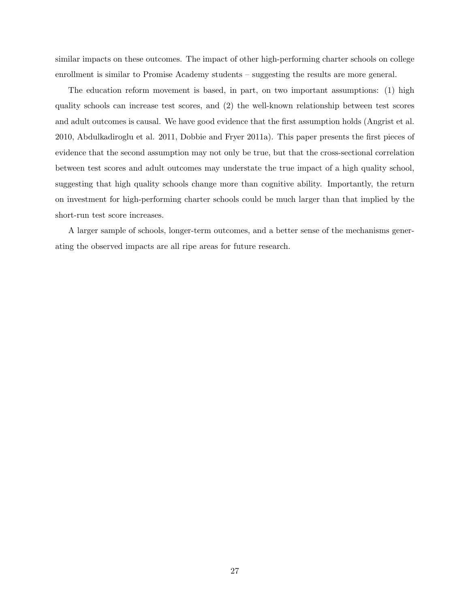similar impacts on these outcomes. The impact of other high-performing charter schools on college enrollment is similar to Promise Academy students – suggesting the results are more general.

The education reform movement is based, in part, on two important assumptions: (1) high quality schools can increase test scores, and (2) the well-known relationship between test scores and adult outcomes is causal. We have good evidence that the first assumption holds (Angrist et al. 2010, Abdulkadiroglu et al. 2011, Dobbie and Fryer 2011a). This paper presents the first pieces of evidence that the second assumption may not only be true, but that the cross-sectional correlation between test scores and adult outcomes may understate the true impact of a high quality school, suggesting that high quality schools change more than cognitive ability. Importantly, the return on investment for high-performing charter schools could be much larger than that implied by the short-run test score increases.

A larger sample of schools, longer-term outcomes, and a better sense of the mechanisms generating the observed impacts are all ripe areas for future research.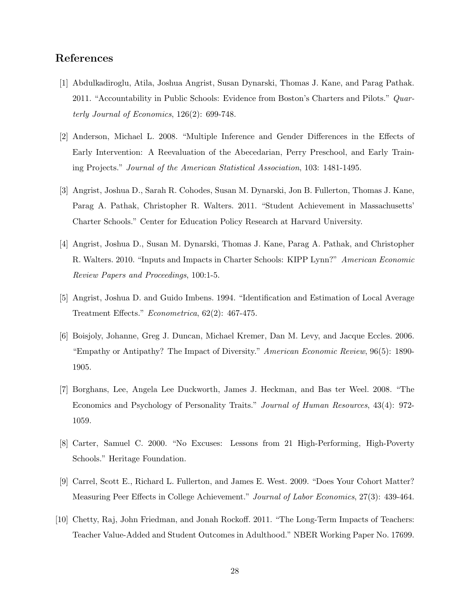# References

- [1] Abdulkadiroglu, Atila, Joshua Angrist, Susan Dynarski, Thomas J. Kane, and Parag Pathak. 2011. "Accountability in Public Schools: Evidence from Boston's Charters and Pilots." Quarterly Journal of Economics, 126(2): 699-748.
- [2] Anderson, Michael L. 2008. "Multiple Inference and Gender Differences in the Effects of Early Intervention: A Reevaluation of the Abecedarian, Perry Preschool, and Early Training Projects." Journal of the American Statistical Association, 103: 1481-1495.
- [3] Angrist, Joshua D., Sarah R. Cohodes, Susan M. Dynarski, Jon B. Fullerton, Thomas J. Kane, Parag A. Pathak, Christopher R. Walters. 2011. "Student Achievement in Massachusetts' Charter Schools." Center for Education Policy Research at Harvard University.
- [4] Angrist, Joshua D., Susan M. Dynarski, Thomas J. Kane, Parag A. Pathak, and Christopher R. Walters. 2010. "Inputs and Impacts in Charter Schools: KIPP Lynn?" American Economic Review Papers and Proceedings, 100:1-5.
- [5] Angrist, Joshua D. and Guido Imbens. 1994. "Identification and Estimation of Local Average Treatment Effects." Econometrica, 62(2): 467-475.
- [6] Boisjoly, Johanne, Greg J. Duncan, Michael Kremer, Dan M. Levy, and Jacque Eccles. 2006. "Empathy or Antipathy? The Impact of Diversity." American Economic Review, 96(5): 1890- 1905.
- [7] Borghans, Lee, Angela Lee Duckworth, James J. Heckman, and Bas ter Weel. 2008. "The Economics and Psychology of Personality Traits." Journal of Human Resources, 43(4): 972- 1059.
- [8] Carter, Samuel C. 2000. "No Excuses: Lessons from 21 High-Performing, High-Poverty Schools." Heritage Foundation.
- [9] Carrel, Scott E., Richard L. Fullerton, and James E. West. 2009. "Does Your Cohort Matter? Measuring Peer Effects in College Achievement." Journal of Labor Economics, 27(3): 439-464.
- [10] Chetty, Raj, John Friedman, and Jonah Rockoff. 2011. "The Long-Term Impacts of Teachers: Teacher Value-Added and Student Outcomes in Adulthood." NBER Working Paper No. 17699.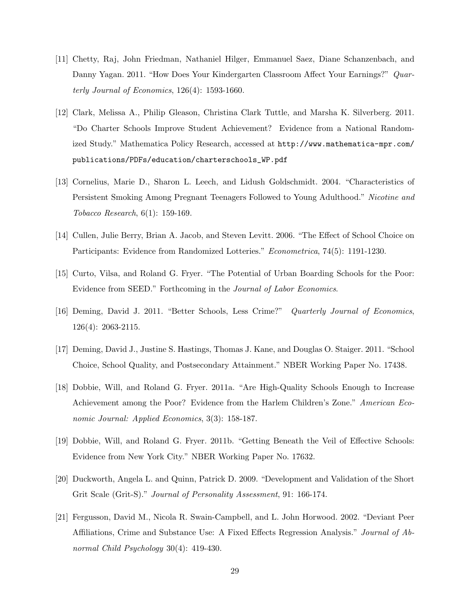- [11] Chetty, Raj, John Friedman, Nathaniel Hilger, Emmanuel Saez, Diane Schanzenbach, and Danny Yagan. 2011. "How Does Your Kindergarten Classroom Affect Your Earnings?" Quarterly Journal of Economics, 126(4): 1593-1660.
- [12] Clark, Melissa A., Philip Gleason, Christina Clark Tuttle, and Marsha K. Silverberg. 2011. "Do Charter Schools Improve Student Achievement? Evidence from a National Randomized Study." Mathematica Policy Research, accessed at http://www.mathematica-mpr.com/ publications/PDFs/education/charterschools\_WP.pdf
- [13] Cornelius, Marie D., Sharon L. Leech, and Lidush Goldschmidt. 2004. "Characteristics of Persistent Smoking Among Pregnant Teenagers Followed to Young Adulthood." Nicotine and Tobacco Research, 6(1): 159-169.
- [14] Cullen, Julie Berry, Brian A. Jacob, and Steven Levitt. 2006. "The Effect of School Choice on Participants: Evidence from Randomized Lotteries." *Econometrica*, 74(5): 1191-1230.
- [15] Curto, Vilsa, and Roland G. Fryer. "The Potential of Urban Boarding Schools for the Poor: Evidence from SEED." Forthcoming in the Journal of Labor Economics.
- [16] Deming, David J. 2011. "Better Schools, Less Crime?" Quarterly Journal of Economics, 126(4): 2063-2115.
- [17] Deming, David J., Justine S. Hastings, Thomas J. Kane, and Douglas O. Staiger. 2011. "School Choice, School Quality, and Postsecondary Attainment." NBER Working Paper No. 17438.
- [18] Dobbie, Will, and Roland G. Fryer. 2011a. "Are High-Quality Schools Enough to Increase Achievement among the Poor? Evidence from the Harlem Children's Zone." American Economic Journal: Applied Economics, 3(3): 158-187.
- [19] Dobbie, Will, and Roland G. Fryer. 2011b. "Getting Beneath the Veil of Effective Schools: Evidence from New York City." NBER Working Paper No. 17632.
- [20] Duckworth, Angela L. and Quinn, Patrick D. 2009. "Development and Validation of the Short Grit Scale (Grit-S)." Journal of Personality Assessment, 91: 166-174.
- [21] Fergusson, David M., Nicola R. Swain-Campbell, and L. John Horwood. 2002. "Deviant Peer Affiliations, Crime and Substance Use: A Fixed Effects Regression Analysis." Journal of Abnormal Child Psychology 30(4): 419-430.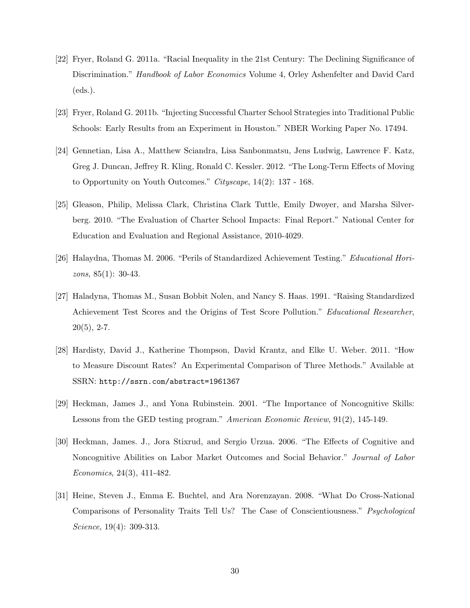- [22] Fryer, Roland G. 2011a. "Racial Inequality in the 21st Century: The Declining Significance of Discrimination." Handbook of Labor Economics Volume 4, Orley Ashenfelter and David Card (eds.).
- [23] Fryer, Roland G. 2011b. "Injecting Successful Charter School Strategies into Traditional Public Schools: Early Results from an Experiment in Houston." NBER Working Paper No. 17494.
- [24] Gennetian, Lisa A., Matthew Sciandra, Lisa Sanbonmatsu, Jens Ludwig, Lawrence F. Katz, Greg J. Duncan, Jeffrey R. Kling, Ronald C. Kessler. 2012. "The Long-Term Effects of Moving to Opportunity on Youth Outcomes." Cityscape, 14(2): 137 - 168.
- [25] Gleason, Philip, Melissa Clark, Christina Clark Tuttle, Emily Dwoyer, and Marsha Silverberg. 2010. "The Evaluation of Charter School Impacts: Final Report." National Center for Education and Evaluation and Regional Assistance, 2010-4029.
- [26] Halaydna, Thomas M. 2006. "Perils of Standardized Achievement Testing." Educational Horizons, 85(1): 30-43.
- [27] Haladyna, Thomas M., Susan Bobbit Nolen, and Nancy S. Haas. 1991. "Raising Standardized Achievement Test Scores and the Origins of Test Score Pollution." Educational Researcher,  $20(5)$ , 2-7.
- [28] Hardisty, David J., Katherine Thompson, David Krantz, and Elke U. Weber. 2011. "How to Measure Discount Rates? An Experimental Comparison of Three Methods." Available at SSRN: http://ssrn.com/abstract=1961367
- [29] Heckman, James J., and Yona Rubinstein. 2001. "The Importance of Noncognitive Skills: Lessons from the GED testing program." American Economic Review, 91(2), 145-149.
- [30] Heckman, James. J., Jora Stixrud, and Sergio Urzua. 2006. "The Effects of Cognitive and Noncognitive Abilities on Labor Market Outcomes and Social Behavior." Journal of Labor Economics, 24(3), 411-482.
- [31] Heine, Steven J., Emma E. Buchtel, and Ara Norenzayan. 2008. "What Do Cross-National Comparisons of Personality Traits Tell Us? The Case of Conscientiousness." Psychological Science, 19(4): 309-313.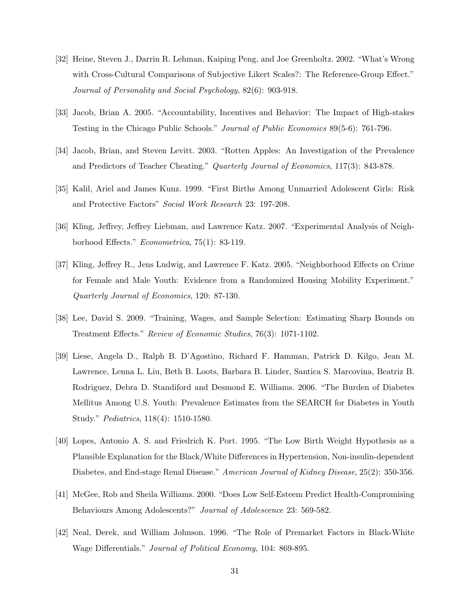- [32] Heine, Steven J., Darrin R. Lehman, Kaiping Peng, and Joe Greenholtz. 2002. "What's Wrong with Cross-Cultural Comparisons of Subjective Likert Scales?: The Reference-Group Effect." Journal of Personality and Social Psychology, 82(6): 903-918.
- [33] Jacob, Brian A. 2005. "Accountability, Incentives and Behavior: The Impact of High-stakes Testing in the Chicago Public Schools." Journal of Public Economics 89(5-6): 761-796.
- [34] Jacob, Brian, and Steven Levitt. 2003. "Rotten Apples: An Investigation of the Prevalence and Predictors of Teacher Cheating." Quarterly Journal of Economics, 117(3): 843-878.
- [35] Kalil, Ariel and James Kunz. 1999. "First Births Among Unmarried Adolescent Girls: Risk and Protective Factors" Social Work Research 23: 197-208.
- [36] Kling, Jeffrey, Jeffrey Liebman, and Lawrence Katz. 2007. "Experimental Analysis of Neighborhood Effects." Econometrica, 75(1): 83-119.
- [37] Kling, Jeffrey R., Jens Ludwig, and Lawrence F. Katz. 2005. "Neighborhood Effects on Crime for Female and Male Youth: Evidence from a Randomized Housing Mobility Experiment." Quarterly Journal of Economics, 120: 87-130.
- [38] Lee, David S. 2009. "Training, Wages, and Sample Selection: Estimating Sharp Bounds on Treatment Effects." Review of Economic Studies, 76(3): 1071-1102.
- [39] Liese, Angela D., Ralph B. D'Agostino, Richard F. Hamman, Patrick D. Kilgo, Jean M. Lawrence, Lenna L. Liu, Beth B. Loots, Barbara B. Linder, Santica S. Marcovina, Beatriz B. Rodriguez, Debra D. Standiford and Desmond E. Williams. 2006. "The Burden of Diabetes Mellitus Among U.S. Youth: Prevalence Estimates from the SEARCH for Diabetes in Youth Study." Pediatrics, 118(4): 1510-1580.
- [40] Lopes, Antonio A. S. and Friedrich K. Port. 1995. "The Low Birth Weight Hypothesis as a Plausible Explanation for the Black/White Differences in Hypertension, Non-insulin-dependent Diabetes, and End-stage Renal Disease." American Journal of Kidney Disease, 25(2): 350-356.
- [41] McGee, Rob and Sheila Williams. 2000. "Does Low Self-Esteem Predict Health-Compromising Behaviours Among Adolescents?" Journal of Adolescence 23: 569-582.
- [42] Neal, Derek, and William Johnson. 1996. "The Role of Premarket Factors in Black-White Wage Differentials." Journal of Political Economy, 104: 869-895.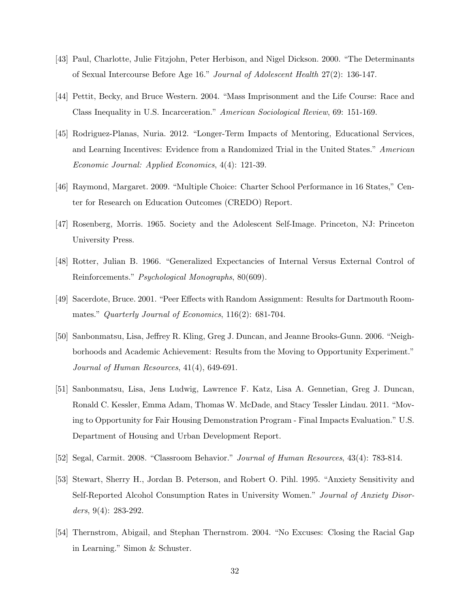- [43] Paul, Charlotte, Julie Fitzjohn, Peter Herbison, and Nigel Dickson. 2000. "The Determinants of Sexual Intercourse Before Age 16." Journal of Adolescent Health 27(2): 136-147.
- [44] Pettit, Becky, and Bruce Western. 2004. "Mass Imprisonment and the Life Course: Race and Class Inequality in U.S. Incarceration." American Sociological Review, 69: 151-169.
- [45] Rodriguez-Planas, Nuria. 2012. "Longer-Term Impacts of Mentoring, Educational Services, and Learning Incentives: Evidence from a Randomized Trial in the United States." American Economic Journal: Applied Economics, 4(4): 121-39.
- [46] Raymond, Margaret. 2009. "Multiple Choice: Charter School Performance in 16 States," Center for Research on Education Outcomes (CREDO) Report.
- [47] Rosenberg, Morris. 1965. Society and the Adolescent Self-Image. Princeton, NJ: Princeton University Press.
- [48] Rotter, Julian B. 1966. "Generalized Expectancies of Internal Versus External Control of Reinforcements." Psychological Monographs, 80(609).
- [49] Sacerdote, Bruce. 2001. "Peer Effects with Random Assignment: Results for Dartmouth Roommates." Quarterly Journal of Economics, 116(2): 681-704.
- [50] Sanbonmatsu, Lisa, Jeffrey R. Kling, Greg J. Duncan, and Jeanne Brooks-Gunn. 2006. "Neighborhoods and Academic Achievement: Results from the Moving to Opportunity Experiment." Journal of Human Resources, 41(4), 649-691.
- [51] Sanbonmatsu, Lisa, Jens Ludwig, Lawrence F. Katz, Lisa A. Gennetian, Greg J. Duncan, Ronald C. Kessler, Emma Adam, Thomas W. McDade, and Stacy Tessler Lindau. 2011. "Moving to Opportunity for Fair Housing Demonstration Program - Final Impacts Evaluation." U.S. Department of Housing and Urban Development Report.
- [52] Segal, Carmit. 2008. "Classroom Behavior." Journal of Human Resources, 43(4): 783-814.
- [53] Stewart, Sherry H., Jordan B. Peterson, and Robert O. Pihl. 1995. "Anxiety Sensitivity and Self-Reported Alcohol Consumption Rates in University Women." Journal of Anxiety Disorders, 9(4): 283-292.
- [54] Thernstrom, Abigail, and Stephan Thernstrom. 2004. "No Excuses: Closing the Racial Gap in Learning." Simon & Schuster.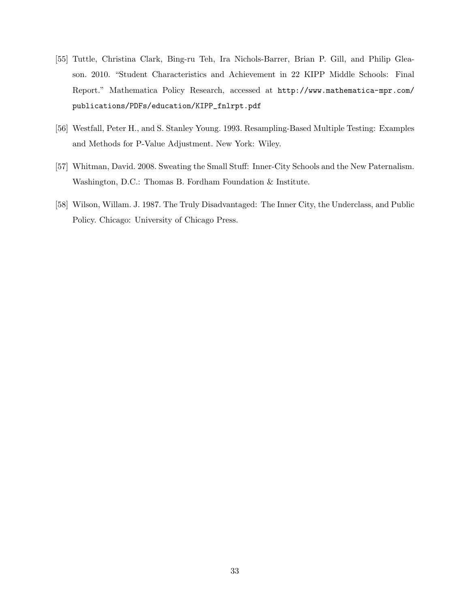- [55] Tuttle, Christina Clark, Bing-ru Teh, Ira Nichols-Barrer, Brian P. Gill, and Philip Gleason. 2010. "Student Characteristics and Achievement in 22 KIPP Middle Schools: Final Report." Mathematica Policy Research, accessed at http://www.mathematica-mpr.com/ publications/PDFs/education/KIPP\_fnlrpt.pdf
- [56] Westfall, Peter H., and S. Stanley Young. 1993. Resampling-Based Multiple Testing: Examples and Methods for P-Value Adjustment. New York: Wiley.
- [57] Whitman, David. 2008. Sweating the Small Stuff: Inner-City Schools and the New Paternalism. Washington, D.C.: Thomas B. Fordham Foundation & Institute.
- [58] Wilson, Willam. J. 1987. The Truly Disadvantaged: The Inner City, the Underclass, and Public Policy. Chicago: University of Chicago Press.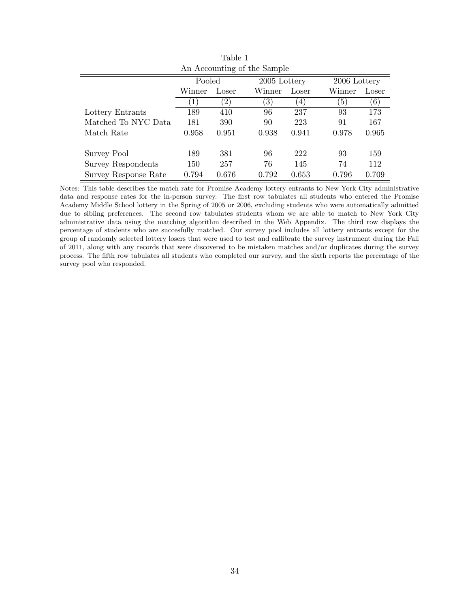| An Accounting of the Sample |         |                   |  |                   |       |  |                  |       |  |
|-----------------------------|---------|-------------------|--|-------------------|-------|--|------------------|-------|--|
|                             | Pooled  |                   |  | 2005 Lottery      |       |  | 2006 Lottery     |       |  |
|                             | Winner  | Loser             |  | Winner            | Loser |  | Winner           | Loser |  |
|                             | $\perp$ | $\left( 2\right)$ |  | $\left( 3\right)$ | 4)    |  | $\left(5\right)$ | (6)   |  |
| Lottery Entrants            | 189     | 410               |  | 96                | 237   |  | 93               | 173   |  |
| Matched To NYC Data         | 181     | 390               |  | 90                | 223   |  | 91               | 167   |  |
| Match Rate                  | 0.958   | 0.951             |  | 0.938             | 0.941 |  | 0.978            | 0.965 |  |
|                             |         |                   |  |                   |       |  |                  |       |  |
| Survey Pool                 | 189     | 381               |  | 96                | 222   |  | 93               | 159   |  |
| <b>Survey Respondents</b>   | 150     | 257               |  | 76                | 145   |  | 74               | 112   |  |
| Survey Response Rate        | 0.794   | 0.676             |  | 0.792             | 0.653 |  | 0.796            | 0.709 |  |

Table 1

Notes: This table describes the match rate for Promise Academy lottery entrants to New York City administrative data and response rates for the in-person survey. The first row tabulates all students who entered the Promise Academy Middle School lottery in the Spring of 2005 or 2006, excluding students who were automatically admitted due to sibling preferences. The second row tabulates students whom we are able to match to New York City administrative data using the matching algorithm described in the Web Appendix. The third row displays the percentage of students who are succesfully matched. Our survey pool includes all lottery entrants except for the group of randomly selected lottery losers that were used to test and callibrate the survey instrument during the Fall of 2011, along with any records that were discovered to be mistaken matches and/or duplicates during the survey process. The fifth row tabulates all students who completed our survey, and the sixth reports the percentage of the survey pool who responded.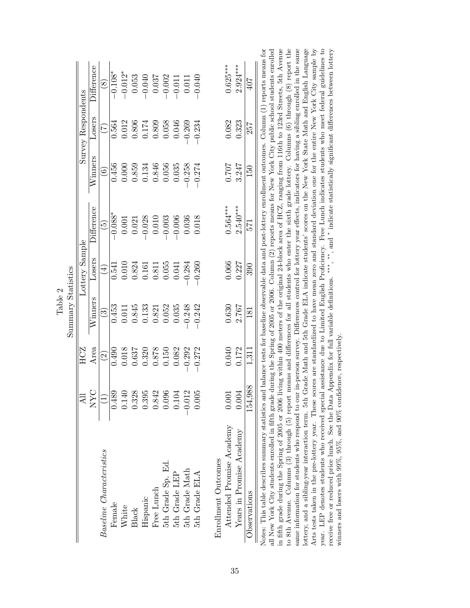|                    |                    | <b>Difference</b> | $\circledast$            | $-0.108*$ | $-0.012*$ | 0.053 | $-0.040$ | 0.037      | $-0.002$          | $-0.011$      | 0.011          | $-0.040$      |                     | $0.625***$               | $2.924***$               | 407          | assistance due to Limited English Proficiency. Free Lunch indicates students who meet federal guidelines to                                                                                                                                                                                                                                                                                                                                                                                                                                                                                                                                                                                                                                                                                                                                                                                                                                                                                                                                                                                                                                                                                                                                                                                                                                                                                                                                                                            |
|--------------------|--------------------|-------------------|--------------------------|-----------|-----------|-------|----------|------------|-------------------|---------------|----------------|---------------|---------------------|--------------------------|--------------------------|--------------|----------------------------------------------------------------------------------------------------------------------------------------------------------------------------------------------------------------------------------------------------------------------------------------------------------------------------------------------------------------------------------------------------------------------------------------------------------------------------------------------------------------------------------------------------------------------------------------------------------------------------------------------------------------------------------------------------------------------------------------------------------------------------------------------------------------------------------------------------------------------------------------------------------------------------------------------------------------------------------------------------------------------------------------------------------------------------------------------------------------------------------------------------------------------------------------------------------------------------------------------------------------------------------------------------------------------------------------------------------------------------------------------------------------------------------------------------------------------------------------|
|                    | Survey Respondents | Losers            | E                        | 0.564     | 0.012     | 0.806 | 0.174    | 0.809      | 0.058             | 0.046         | $-0.269$       | $-0.234$      |                     | 0.082                    | 0.323                    | 257          |                                                                                                                                                                                                                                                                                                                                                                                                                                                                                                                                                                                                                                                                                                                                                                                                                                                                                                                                                                                                                                                                                                                                                                                                                                                                                                                                                                                                                                                                                        |
|                    |                    | Winners           | $\widehat{\odot}$        | 0.456     | 0.000     | 0.859 | 0.134    | 0.846      | 0.056             | 0.035         | $-0.258$       | $-0.274$      |                     | 107.0                    | 3.247                    | 150          |                                                                                                                                                                                                                                                                                                                                                                                                                                                                                                                                                                                                                                                                                                                                                                                                                                                                                                                                                                                                                                                                                                                                                                                                                                                                                                                                                                                                                                                                                        |
|                    |                    | $\rm{Difference}$ | $\widetilde{\mathbb{G}}$ | $-0.088*$ | 0.001     | 0.021 | $-0.028$ | 0.010      | 0.003             | 0.006         | 0.036          | 0.018         |                     | $0.564***$               | $2.540***$               | 571          |                                                                                                                                                                                                                                                                                                                                                                                                                                                                                                                                                                                                                                                                                                                                                                                                                                                                                                                                                                                                                                                                                                                                                                                                                                                                                                                                                                                                                                                                                        |
|                    | Lottery Sample     | Losers            | $(\pm)$                  | 0.541     | 0.010     | 0.824 | 0.161    | 0.811      | 0.055             | 0.041         | $-0.284$       | $-0.260$      |                     | 0.066                    | 0.227                    | 390          |                                                                                                                                                                                                                                                                                                                                                                                                                                                                                                                                                                                                                                                                                                                                                                                                                                                                                                                                                                                                                                                                                                                                                                                                                                                                                                                                                                                                                                                                                        |
| Summary Statistics |                    | Winners           | $\odot$                  | 0.453     | 0.011     | 0.845 | 0.133    | 0.821      | 0.052             | 0.035         | $-0.248$       | $-0.242$      |                     | 0.630                    | 2.767                    | 181          |                                                                                                                                                                                                                                                                                                                                                                                                                                                                                                                                                                                                                                                                                                                                                                                                                                                                                                                                                                                                                                                                                                                                                                                                                                                                                                                                                                                                                                                                                        |
|                    | HCZ                | Area              | $\widehat{\mathcal{Q}}$  | 0.490     | 0.018     | 0.637 | 0.320    | 0.878      | 0.150             | 0.082         | $-0.292$       | $-0.272$      |                     | 0.040                    | 0.172                    | 1,311        |                                                                                                                                                                                                                                                                                                                                                                                                                                                                                                                                                                                                                                                                                                                                                                                                                                                                                                                                                                                                                                                                                                                                                                                                                                                                                                                                                                                                                                                                                        |
|                    | All                | NYC               | $\overline{\bigcirc}$    | 0.489     | 0.140     | 0.328 | 0.395    | 0.842      | 0.096             | 0.104         | $-0.012$       | 0.005         |                     | 0.001                    | 0.004                    | 154,988      |                                                                                                                                                                                                                                                                                                                                                                                                                                                                                                                                                                                                                                                                                                                                                                                                                                                                                                                                                                                                                                                                                                                                                                                                                                                                                                                                                                                                                                                                                        |
|                    |                    |                   | Baseline Characteristics | Female    | White     | Black | Hispanic | Free Lunch | 5th Grade Sp. Ed. | 5th Grade LEF | 5th Grade Math | 5th Grade ELA | Enrollment Outcomes | Attended Promise Academy | Years in Promise Academy | Observations | in fifth grade during the Spring of 2005 or 2006 living within 400 meters of the original 24-block area of HCZ, ranging from 116th to 123rd Streets, 5th Avenue<br>to 8th Avenue. Columns (3) through (5) report means and differences for all students who enter the sixth grade lottery. Columns (6) through (8) report the<br>same information for students who respond to our in-person survey. Differences control for lottery year effects, indicators for having a sibling enrolled in the same<br>lottery, and a sibling-year interaction term. 5th Grade Math and 5th Grade ELA indicate students' scores on the New York State Math and English Language<br>Arts tests taken in the pre-lottery year. These scores are standardized to have mean zero and standard deviation one for the entire New York City sample by<br>receive free or reduced price lunch. See the Data Appendix for full variable definitions. ***, **, and * indicate statistically significant differences between lottery<br>Notes: This table describes summary statistics and balance tests for baseline observable data and post-lottery enrollment outcomes. Column (1) reports means for<br>all New York City students enrolled in fifth grade during the Spring of 2005 or 2006. Column (2) reports means for New York City public school students enrolled<br>winners and losers with $99\%,\,95\%,$ and $90\%$ confidence, respectively.<br>year. LEP denotes students who received special |

|                       | $\alpha$ tietic |
|-----------------------|-----------------|
|                       |                 |
|                       |                 |
|                       |                 |
|                       |                 |
|                       |                 |
|                       |                 |
| $\mathbf{\mathsf{c}}$ |                 |
|                       | J               |
|                       |                 |
| Φ                     |                 |
|                       |                 |
|                       |                 |
|                       |                 |
|                       |                 |
|                       |                 |
|                       |                 |
| $\Gamma$ ab           | <b>C</b>        |
|                       |                 |
|                       | n m             |
|                       |                 |
|                       |                 |
|                       |                 |
|                       |                 |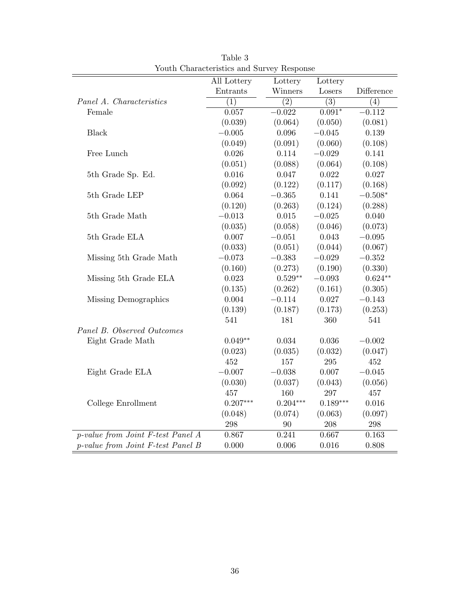|                                   | All Lottery      | Lottery            | Lottery          |            |
|-----------------------------------|------------------|--------------------|------------------|------------|
|                                   | Entrants         | Winners            | Losers           | Difference |
| Panel A. Characteristics          | $\overline{(1)}$ | $\overline{(2)}$   | $\overline{(3)}$ | (4)        |
| Female                            | 0.057            | $-0.022$           | $0.091*$         | $-0.112$   |
|                                   | (0.039)          | (0.064)            | (0.050)          | (0.081)    |
| <b>Black</b>                      | $-0.005$         | 0.096              | $-0.045$         | 0.139      |
|                                   | (0.049)          | (0.091)            | (0.060)          | (0.108)    |
| Free Lunch                        | $0.026\,$        | 0.114              | $-0.029$         | 0.141      |
|                                   | (0.051)          | (0.088)            | (0.064)          | (0.108)    |
| 5th Grade Sp. Ed.                 | 0.016            | 0.047              | $\,0.022\,$      | 0.027      |
|                                   | (0.092)          | (0.122)            | (0.117)          | (0.168)    |
| 5th Grade LEP                     | 0.064            | $-0.365$           | 0.141            | $-0.508*$  |
|                                   | (0.120)          | (0.263)            | (0.124)          | (0.288)    |
| 5th Grade Math                    | $-0.013$         | 0.015              | $-0.025$         | 0.040      |
|                                   | (0.035)          | (0.058)            | (0.046)          | (0.073)    |
| 5th Grade ELA                     | 0.007            | $-0.051$           | 0.043            | $-0.095$   |
|                                   | (0.033)          | (0.051)            | (0.044)          | (0.067)    |
| Missing 5th Grade Math            | $-0.073$         | $-0.383$           | $-0.029$         | $-0.352$   |
|                                   | (0.160)          | (0.273)            | (0.190)          | (0.330)    |
| Missing 5th Grade ELA             | 0.023            | $0.529^{\ast\ast}$ | $-0.093$         | $0.624**$  |
|                                   | (0.135)          | (0.262)            | (0.161)          | (0.305)    |
| Missing Demographics              | 0.004            | $-0.114$           | 0.027            | $-0.143$   |
|                                   | (0.139)          | (0.187)            | (0.173)          | (0.253)    |
|                                   | 541              | 181                | 360              | 541        |
| Panel B. Observed Outcomes        |                  |                    |                  |            |
| Eight Grade Math                  | $0.049**$        | 0.034              | 0.036            | $-0.002$   |
|                                   | (0.023)          | (0.035)            | (0.032)          | (0.047)    |
|                                   | 452              | 157                | 295              | 452        |
| Eight Grade ELA                   | $-0.007$         | $-0.038$           | 0.007            | $-0.045$   |
|                                   | (0.030)          | (0.037)            | (0.043)          | (0.056)    |
|                                   | 457              | 160                | 297              | 457        |
| College Enrollment                | $0.207***$       | $0.204***$         | $0.189***$       | 0.016      |
|                                   | (0.048)          | (0.074)            | (0.063)          | (0.097)    |
|                                   | 298              | 90                 | 208              | 298        |
| p-value from Joint F-test Panel A | 0.867            | 0.241              | 0.667            | 0.163      |
| p-value from Joint F-test Panel B | 0.000            | 0.006              | 0.016            | 0.808      |

Table 3 Youth Characteristics and Survey Response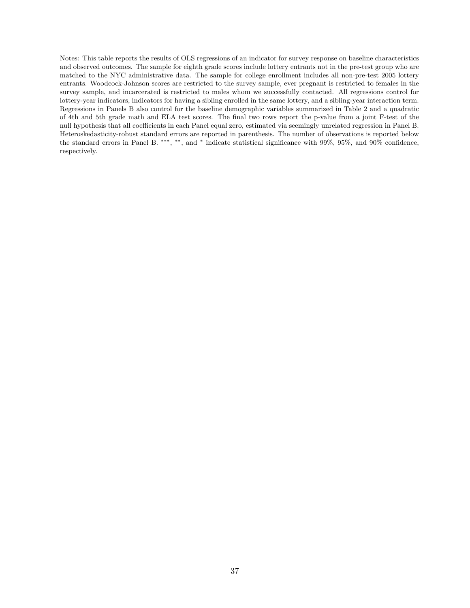Notes: This table reports the results of OLS regressions of an indicator for survey response on baseline characteristics and observed outcomes. The sample for eighth grade scores include lottery entrants not in the pre-test group who are matched to the NYC administrative data. The sample for college enrollment includes all non-pre-test 2005 lottery entrants. Woodcock-Johnson scores are restricted to the survey sample, ever pregnant is restricted to females in the survey sample, and incarcerated is restricted to males whom we successfully contacted. All regressions control for lottery-year indicators, indicators for having a sibling enrolled in the same lottery, and a sibling-year interaction term. Regressions in Panels B also control for the baseline demographic variables summarized in Table 2 and a quadratic of 4th and 5th grade math and ELA test scores. The final two rows report the p-value from a joint F-test of the null hypothesis that all coefficients in each Panel equal zero, estimated via seemingly unrelated regression in Panel B. Heteroskedasticity-robust standard errors are reported in parenthesis. The number of observations is reported below the standard errors in Panel B. \*\*\*, \*\*, and \* indicate statistical significance with 99%, 95%, and 90% confidence, respectively.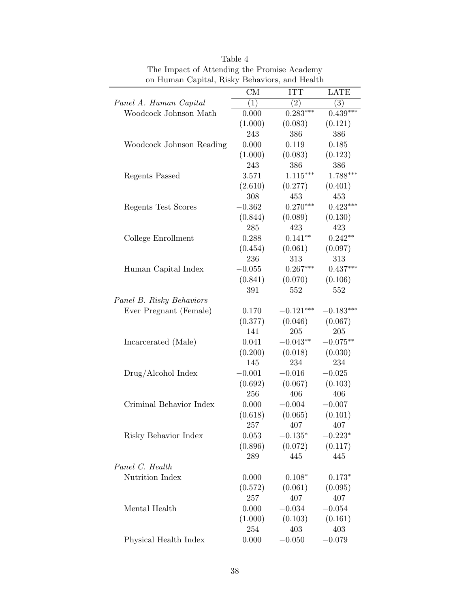| on riuman Capital, Risky Denaviors, and rieatun |          |             |             |
|-------------------------------------------------|----------|-------------|-------------|
|                                                 | CM       | <b>ITT</b>  | <b>LATE</b> |
| Panel A. Human Capital                          | (1)      | $\bar{(2)}$ | (3)         |
| Woodcock Johnson Math                           | 0.000    | $0.283***$  | $0.439***$  |
|                                                 | (1.000)  | (0.083)     | (0.121)     |
|                                                 | 243      | 386         | 386         |
| Woodcock Johnson Reading                        | 0.000    | 0.119       | 0.185       |
|                                                 | (1.000)  | (0.083)     | (0.123)     |
|                                                 | 243      | 386         | 386         |
| Regents Passed                                  | 3.571    | $1.115***$  | $1.788***$  |
|                                                 | (2.610)  | (0.277)     | (0.401)     |
|                                                 | 308      | 453         | 453         |
| Regents Test Scores                             | $-0.362$ | $0.270***$  | $0.423***$  |
|                                                 | (0.844)  | (0.089)     | (0.130)     |
|                                                 | 285      | 423         | 423         |
| College Enrollment                              | 0.288    | $0.141**$   | $0.242**$   |
|                                                 | (0.454)  | (0.061)     | (0.097)     |
|                                                 | 236      | 313         | 313         |
| Human Capital Index                             | $-0.055$ | $0.267***$  | $0.437***$  |
|                                                 | (0.841)  | (0.070)     | (0.106)     |
|                                                 | 391      | 552         | 552         |
| Panel B. Risky Behaviors                        |          |             |             |
| Ever Pregnant (Female)                          | 0.170    | $-0.121***$ | $-0.183***$ |
|                                                 | (0.377)  | (0.046)     | (0.067)     |
|                                                 | 141      | $205\,$     | $205\,$     |
| Incarcerated (Male)                             | 0.041    | $-0.043**$  | $-0.075**$  |
|                                                 | (0.200)  | (0.018)     | (0.030)     |
|                                                 | 145      | 234         | 234         |
| Drug/Alcohol Index                              | $-0.001$ | $-0.016$    | $-0.025$    |
|                                                 | (0.692)  | (0.067)     | (0.103)     |
|                                                 | 256      | 406         | 406         |
| Criminal Behavior Index                         | 0.000    | $-0.004$    | $-0.007$    |
|                                                 | (0.618)  | (0.065)     | (0.101)     |
|                                                 | 257      | 407         | 407         |
| Risky Behavior Index                            | 0.053    | $-0.135*$   | $-0.223*$   |
|                                                 | (0.896)  | (0.072)     | (0.117)     |
|                                                 | 289      | 445         | 445         |
| Panel C. Health                                 |          |             |             |
| Nutrition Index                                 | 0.000    | $0.108*$    | $0.173*$    |
|                                                 | (0.572)  | (0.061)     | (0.095)     |
|                                                 | 257      | 407         | 407         |
| Mental Health                                   | 0.000    | $-0.034$    | $-0.054$    |
|                                                 | (1.000)  | (0.103)     | (0.161)     |
|                                                 | 254      | 403         | 403         |
| Physical Health Index                           | 0.000    | $-0.050$    | $-0.079$    |

| Table 4                                       |
|-----------------------------------------------|
| The Impact of Attending the Promise Academy   |
| on Human Capital, Risky Behaviors, and Health |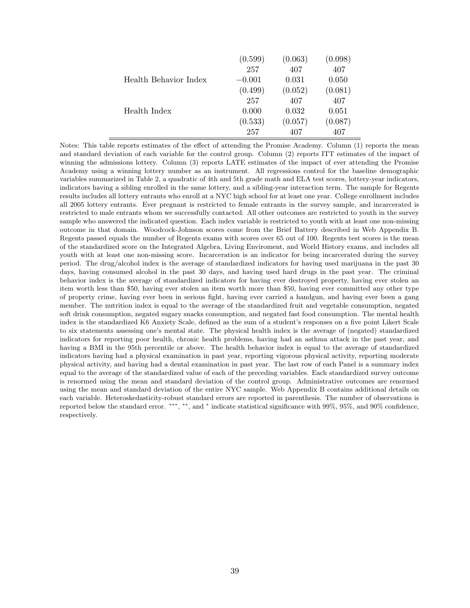|                       | (0.599)  | (0.063) | (0.098) |
|-----------------------|----------|---------|---------|
|                       | 257      | 407     | 407     |
| Health Behavior Index | $-0.001$ | 0.031   | 0.050   |
|                       | (0.499)  | (0.052) | (0.081) |
|                       | 257      | 407     | 407     |
| Health Index          | 0.000    | 0.032   | 0.051   |
|                       | (0.533)  | (0.057) | (0.087) |
|                       | 257      | 407     | 407     |

Notes: This table reports estimates of the effect of attending the Promise Academy. Column (1) reports the mean and standard deviation of each variable for the control group. Column (2) reports ITT estimates of the impact of winning the admissions lottery. Column (3) reports LATE estimates of the impact of ever attending the Promise Academy using a winning lottery number as an instrument. All regressions control for the baseline demographic variables summarized in Table 2, a quadratic of 4th and 5th grade math and ELA test scores, lottery-year indicators, indicators having a sibling enrolled in the same lottery, and a sibling-year interaction term. The sample for Regents results includes all lottery entrants who enroll at a NYC high school for at least one year. College enrollment includes all 2005 lottery entrants. Ever pregnant is restricted to female entrants in the survey sample, and incarcerated is restricted to male entrants whom we successfully contacted. All other outcomes are restricted to youth in the survey sample who answered the indicated question. Each index variable is restricted to youth with at least one non-missing outcome in that domain. Woodcock-Johnson scores come from the Brief Battery described in Web Appendix B. Regents passed equals the number of Regents exams with scores over 65 out of 100. Regents test scores is the mean of the standardized score on the Integrated Algebra, Living Enviroment, and World History exams, and includes all youth with at least one non-missing score. Incarceration is an indicator for being incarcerated during the survey period. The drug/alcohol index is the average of standardized indicators for having used marijuana in the past 30 days, having consumed alcohol in the past 30 days, and having used hard drugs in the past year. The criminal behavior index is the average of standardized indicators for having ever destroyed property, having ever stolen an item worth less than \$50, having ever stolen an item worth more than \$50, having ever committed any other type of property crime, having ever been in serious fight, having ever carried a handgun, and having ever been a gang member. The nutrition index is equal to the average of the standardized fruit and vegetable consumption, negated soft drink consumption, negated sugary snacks consumption, and negated fast food consumption. The mental health index is the standardized K6 Anxiety Scale, defined as the sum of a student's responses on a five point Likert Scale to six statements assessing one's mental state. The physical health index is the average of (negated) standardized indicators for reporting poor health, chronic health problems, having had an asthma attack in the past year, and having a BMI in the 95th percentile or above. The health behavior index is equal to the average of standardized indicators having had a physical examination in past year, reporting vigorous physical activity, reporting moderate physical activity, and having had a dental examination in past year. The last row of each Panel is a summary index equal to the average of the standardized value of each of the preceding variables. Each standardized survey outcome is renormed using the mean and standard deviation of the control group. Administrative outcomes are renormed using the mean and standard deviation of the entire NYC sample. Web Appendix B contains additional details on each variable. Heteroskedasticity-robust standard errors are reported in parenthesis. The number of observations is reported below the standard error. \*\*\*, \*\*, and \* indicate statistical significance with 99%, 95%, and 90% confidence, respectively.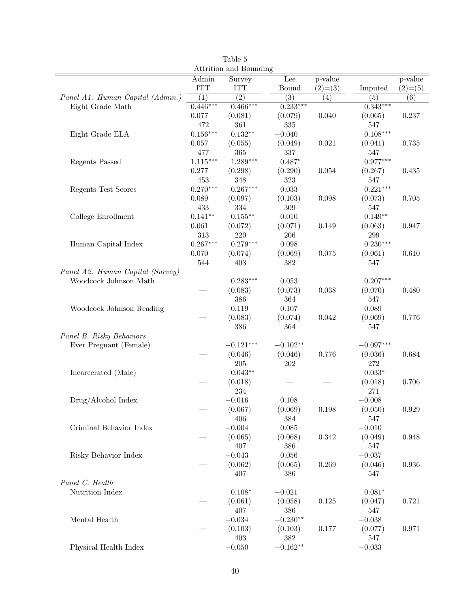| Attrition and Bounding           |                  |                  |                     |             |                  |                  |  |  |
|----------------------------------|------------------|------------------|---------------------|-------------|------------------|------------------|--|--|
|                                  | Admin            | Survey           | Lee                 | p-value     |                  | p-value          |  |  |
|                                  | <b>ITT</b>       | <b>ITT</b>       | Bound               | $(2)=(3)$   | Imputed          | $(2)=(5)$        |  |  |
| Panel A1. Human Capital (Admin.) | $\overline{(1)}$ | $\overline{(2)}$ | $\overline{(3)}$    | (4)         | $\overline{(5)}$ | $\overline{(6)}$ |  |  |
| Eight Grade Math                 | $0.446***$       | $0.466***$       | $0.233***$          |             | $0.343***$       |                  |  |  |
|                                  | 0.077            | (0.081)          | (0.079)             | 0.040       | (0.065)          | 0.237            |  |  |
|                                  | 472              | 361              | 335                 |             | 547              |                  |  |  |
| Eight Grade ELA                  | $0.156***$       | $0.132**$        | $-0.040$            |             | $0.108***$       |                  |  |  |
|                                  | 0.057            | (0.055)          | (0.049)             | 0.021       | (0.041)          | 0.735            |  |  |
|                                  | 477              | 365              | 337                 |             | 547              |                  |  |  |
| Regents Passed                   | $1.115***$       | $1.289***$       | $0.487*$            |             | $0.977***$       |                  |  |  |
|                                  | 0.277            | (0.298)          | (0.290)             | $0.054\,$   | (0.267)          | 0.435            |  |  |
|                                  | 453              | 348              | $323\,$             |             | 547              |                  |  |  |
| Regents Test Scores              | $0.270***$       | $0.267***$       | $\,0.033\,$         |             | $0.221***$       |                  |  |  |
|                                  | 0.089            | (0.097)          | (0.103)             | 0.098       | (0.073)          | 0.705            |  |  |
|                                  | 433              | 334              | $309\,$             |             | $547\,$          |                  |  |  |
| College Enrollment               | $0.141**$        | $0.155***$       | $0.010\,$           |             | $0.149**$        |                  |  |  |
|                                  | 0.061            | (0.072)          | (0.071)             | 0.149       | (0.063)          | 0.947            |  |  |
|                                  | 313              | 220              | 206                 |             | $\,299$          |                  |  |  |
| Human Capital Index              | $0.267***$       | $0.279***$       | 0.098               |             | $0.230***$       |                  |  |  |
|                                  | $0.070\,$        | (0.074)          | (0.069)             | $0.075\,$   | (0.061)          | 0.610            |  |  |
|                                  | 544              | 403              | 382                 |             | 547              |                  |  |  |
| Panel A2. Human Capital (Survey) |                  |                  |                     |             |                  |                  |  |  |
| Woodcock Johnson Math            |                  | $0.283***$       | 0.053               |             | $0.207***$       |                  |  |  |
|                                  |                  | (0.083)          | (0.073)             | 0.038       | (0.070)          | 0.480            |  |  |
|                                  |                  | 386              | 364                 |             | $547\,$          |                  |  |  |
| Woodcock Johnson Reading         |                  | 0.119            | $-0.107$            |             | 0.089            |                  |  |  |
|                                  |                  | (0.083)          | (0.074)             | $\,0.042\,$ | (0.069)          | 0.776            |  |  |
|                                  |                  | 386              | 364                 |             | 547              |                  |  |  |
| Panel B. Risky Behaviors         |                  |                  |                     |             |                  |                  |  |  |
| Ever Pregnant (Female)           |                  | $-0.121***$      | $-0.102**$          |             | $-0.097***$      |                  |  |  |
|                                  |                  | (0.046)          | (0.046)             | 0.776       | (0.036)          | 0.684            |  |  |
|                                  |                  | $205\,$          | 202                 |             | 272              |                  |  |  |
| Incarcerated (Male)              |                  | $-0.043**$       |                     |             | $-0.033*$        |                  |  |  |
|                                  |                  | (0.018)          |                     |             | (0.018)          | 0.706            |  |  |
|                                  |                  | 234              |                     |             | 271              |                  |  |  |
| Drug/Alcohol Index               |                  | $-0.016$         | 0.108               |             | $-0.008$         |                  |  |  |
|                                  |                  | (0.067)          | (0.069)             | 0.198       | (0.050)          | $\,0.929\,$      |  |  |
|                                  |                  | 406              | 384                 |             | 547              |                  |  |  |
| Criminal Behavior Index          |                  | $-0.004$         | $\,0.085\,$         |             | $-0.010$         |                  |  |  |
|                                  |                  | (0.065)          | (0.068)             | $0.342\,$   | (0.049)          | 0.948            |  |  |
|                                  |                  | 407              | 386                 |             | 547              |                  |  |  |
| Risky Behavior Index             |                  | $-0.043$         | $0.056\,$           |             | $-0.037$         |                  |  |  |
|                                  |                  | (0.062)          | (0.065)             | 0.269       | (0.046)          | 0.936            |  |  |
|                                  |                  | 407              | 386                 |             | 547              |                  |  |  |
| Panel C. Health                  |                  |                  |                     |             |                  |                  |  |  |
| Nutrition Index                  |                  | $0.108*$         | $-0.021$            |             | $0.081*$         |                  |  |  |
|                                  |                  | (0.061)          | (0.058)             | $0.125\,$   | (0.047)          | 0.721            |  |  |
|                                  |                  | 407              | 386                 |             | 547              |                  |  |  |
| Mental Health                    |                  | $-0.034$         | $-0.230**$          |             | $-0.038$         |                  |  |  |
|                                  |                  | (0.103)          | (0.103)             | 0.177       | (0.077)          | 0.971            |  |  |
|                                  |                  | 403              | 382                 |             | 547              |                  |  |  |
| Physical Health Index            |                  | $-0.050\,$       | $-0.162^{\ast\ast}$ |             | $-0.033$         |                  |  |  |
|                                  |                  |                  |                     |             |                  |                  |  |  |

Table 5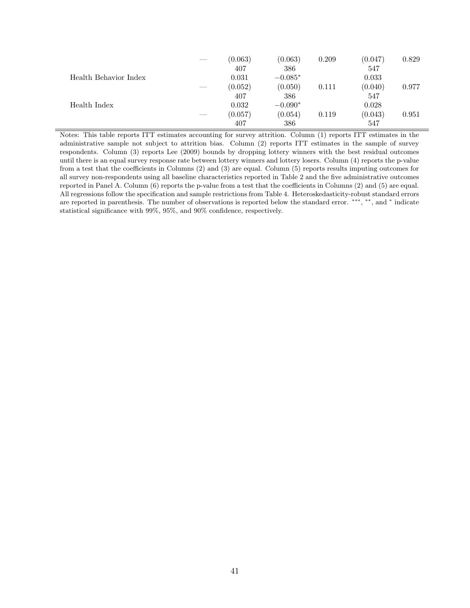|                       | __ | (0.063) | (0.063)   | 0.209 | (0.047) | 0.829 |
|-----------------------|----|---------|-----------|-------|---------|-------|
|                       |    | 407     | 386       |       | 547     |       |
| Health Behavior Index |    | 0.031   | $-0.085*$ |       | 0.033   |       |
|                       | __ | (0.052) | (0.050)   | 0.111 | (0.040) | 0.977 |
|                       |    | 407     | 386       |       | 547     |       |
| Health Index          |    | 0.032   | $-0.090*$ |       | 0.028   |       |
|                       | __ | (0.057) | (0.054)   | 0.119 | (0.043) | 0.951 |
|                       |    | 407     | 386       |       | 547     |       |

Notes: This table reports ITT estimates accounting for survey attrition. Column (1) reports ITT estimates in the administrative sample not subject to attrition bias. Column (2) reports ITT estimates in the sample of survey respondents. Column (3) reports Lee (2009) bounds by dropping lottery winners with the best residual outcomes until there is an equal survey response rate between lottery winners and lottery losers. Column (4) reports the p-value from a test that the coefficients in Columns (2) and (3) are equal. Column (5) reports results imputing outcomes for all survey non-respondents using all baseline characteristics reported in Table 2 and the five administrative outcomes reported in Panel A. Column (6) reports the p-value from a test that the coefficients in Columns (2) and (5) are equal. All regressions follow the specification and sample restrictions from Table 4. Heteroskedasticity-robust standard errors are reported in parenthesis. The number of observations is reported below the standard error. \*\*\*, \*\*, and \* indicate statistical significance with 99%, 95%, and 90% confidence, respectively.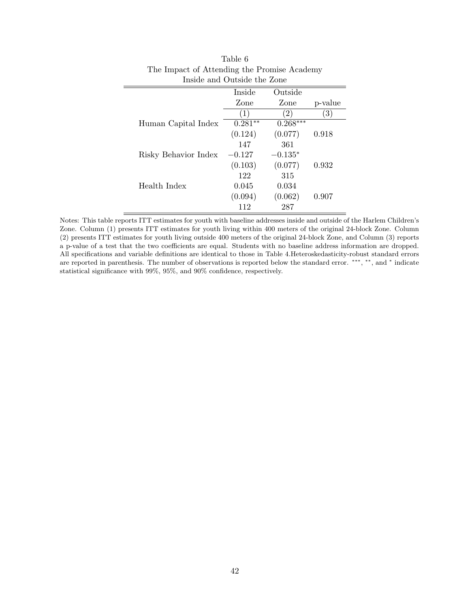| Inside and Outside the Zone |                  |                   |         |  |  |  |  |
|-----------------------------|------------------|-------------------|---------|--|--|--|--|
|                             | Inside           | Outside           |         |  |  |  |  |
|                             | Zone             | Zone              | p-value |  |  |  |  |
|                             | $\left(1\right)$ | $\left( 2\right)$ | (3)     |  |  |  |  |
| Human Capital Index         | $0.281**$        | $0.268***$        |         |  |  |  |  |
|                             | (0.124)          | (0.077)           | 0.918   |  |  |  |  |
|                             | 147              | 361               |         |  |  |  |  |
| Risky Behavior Index        | $-0.127$         | $-0.135*$         |         |  |  |  |  |
|                             | (0.103)          | (0.077)           | 0.932   |  |  |  |  |
|                             | 122              | 315               |         |  |  |  |  |
| Health Index                | 0.045            | 0.034             |         |  |  |  |  |
|                             | (0.094)          | (0.062)           | 0.907   |  |  |  |  |
|                             | 112              | 287               |         |  |  |  |  |

| Table 6                                     |
|---------------------------------------------|
| The Impact of Attending the Promise Academy |
| Inside and Outside the Zone                 |

Notes: This table reports ITT estimates for youth with baseline addresses inside and outside of the Harlem Children's Zone. Column (1) presents ITT estimates for youth living within 400 meters of the original 24-block Zone. Column (2) presents ITT estimates for youth living outside 400 meters of the original 24-block Zone, and Column (3) reports a p-value of a test that the two coefficients are equal. Students with no baseline address information are dropped. All specifications and variable definitions are identical to those in Table 4.Heteroskedasticity-robust standard errors are reported in parenthesis. The number of observations is reported below the standard error. \*\*\*, \*\*, and \* indicate statistical significance with 99%, 95%, and 90% confidence, respectively.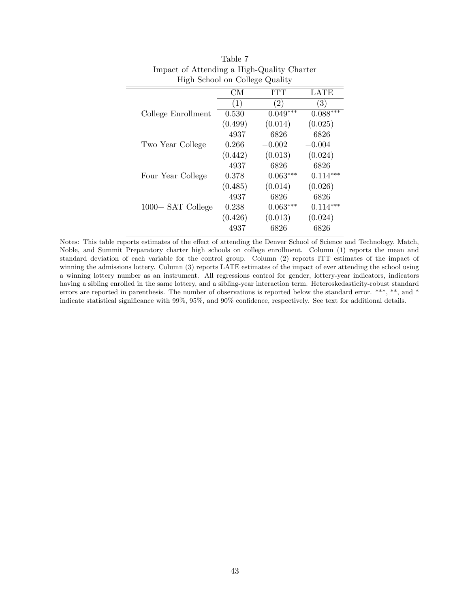| High School on College Quality |                  |                   |                   |  |  |  |  |
|--------------------------------|------------------|-------------------|-------------------|--|--|--|--|
|                                | <b>CM</b>        | ITT               | LATE              |  |  |  |  |
|                                | $\left(1\right)$ | $\left( 2\right)$ | $\left( 3\right)$ |  |  |  |  |
| College Enrollment             | 0.530            | $0.049***$        | $0.088***$        |  |  |  |  |
|                                | (0.499)          | (0.014)           | (0.025)           |  |  |  |  |
|                                | 4937             | 6826              | 6826              |  |  |  |  |
| Two Year College               | 0.266            | $-0.002$          | $-0.004$          |  |  |  |  |
|                                | (0.442)          | (0.013)           | (0.024)           |  |  |  |  |
|                                | 4937             | 6826              | 6826              |  |  |  |  |
| Four Year College              | 0.378            | $0.063***$        | $0.114***$        |  |  |  |  |
|                                | (0.485)          | (0.014)           | (0.026)           |  |  |  |  |
|                                | 4937             | 6826              | 6826              |  |  |  |  |
| 1000+ SAT College              | 0.238            | $0.063***$        | $0.114***$        |  |  |  |  |
|                                | (0.426)          | (0.013)           | (0.024)           |  |  |  |  |
|                                | 4937             | 6826              | 6826              |  |  |  |  |

| Table 7                                    |
|--------------------------------------------|
| Impact of Attending a High-Quality Charter |
| High School on College Quality             |

 $\equiv$ 

Notes: This table reports estimates of the effect of attending the Denver School of Science and Technology, Match, Noble, and Summit Preparatory charter high schools on college enrollment. Column (1) reports the mean and standard deviation of each variable for the control group. Column (2) reports ITT estimates of the impact of winning the admissions lottery. Column (3) reports LATE estimates of the impact of ever attending the school using a winning lottery number as an instrument. All regressions control for gender, lottery-year indicators, indicators having a sibling enrolled in the same lottery, and a sibling-year interaction term. Heteroskedasticity-robust standard errors are reported in parenthesis. The number of observations is reported below the standard error. \*\*\*, \*\*, and \* indicate statistical significance with 99%, 95%, and 90% confidence, respectively. See text for additional details.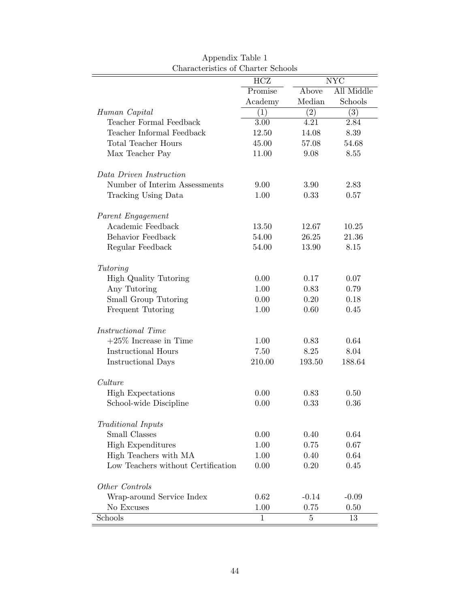|                                    | HCZ          |                   | <b>NYC</b> |
|------------------------------------|--------------|-------------------|------------|
|                                    | Promise      | Above             | All Middle |
|                                    | Academy      | Median            | Schools    |
| Human Capital                      | (1)          | $\left( 2\right)$ | (3)        |
| Teacher Formal Feedback            | 3.00         | 4.21              | 2.84       |
| Teacher Informal Feedback          | 12.50        | 14.08             | 8.39       |
| Total Teacher Hours                | 45.00        | 57.08             | 54.68      |
| Max Teacher Pay                    | 11.00        | 9.08              | 8.55       |
| Data Driven Instruction            |              |                   |            |
| Number of Interim Assessments      | 9.00         | 3.90              | 2.83       |
| Tracking Using Data                | 1.00         | 0.33              | 0.57       |
| Parent Engagement                  |              |                   |            |
| Academic Feedback                  | 13.50        | 12.67             | 10.25      |
| Behavior Feedback                  | 54.00        | 26.25             | 21.36      |
| Regular Feedback                   | 54.00        | 13.90             | 8.15       |
| Tutoring                           |              |                   |            |
| <b>High Quality Tutoring</b>       | 0.00         | 0.17              | 0.07       |
| Any Tutoring                       | 1.00         | 0.83              | 0.79       |
| Small Group Tutoring               | 0.00         | 0.20              | 0.18       |
| Frequent Tutoring                  | 1.00         | 0.60              | 0.45       |
| Instructional Time                 |              |                   |            |
| $+25\%$ Increase in Time           | 1.00         | 0.83              | 0.64       |
| <b>Instructional Hours</b>         | 7.50         | 8.25              | 8.04       |
| <b>Instructional Days</b>          | 210.00       | 193.50            | 188.64     |
| Culture                            |              |                   |            |
| <b>High Expectations</b>           | 0.00         | 0.83              | 0.50       |
| School-wide Discipline             | 0.00         | 0.33              | 0.36       |
| <b>Traditional Inputs</b>          |              |                   |            |
| Small Classes                      | 0.00         | 0.40              | 0.64       |
| <b>High Expenditures</b>           | 1.00         | 0.75              | 0.67       |
| High Teachers with MA              | 1.00         | 0.40              | 0.64       |
| Low Teachers without Certification | 0.00         | 0.20              | 0.45       |
| Other Controls                     |              |                   |            |
| Wrap-around Service Index          | 0.62         | $-0.14$           | $-0.09$    |
| No Excuses                         | 1.00         | 0.75              | 0.50       |
| Schools                            | $\mathbf{1}$ | $\bf 5$           | 13         |

Appendix Table 1 Characteristics of Charter Schools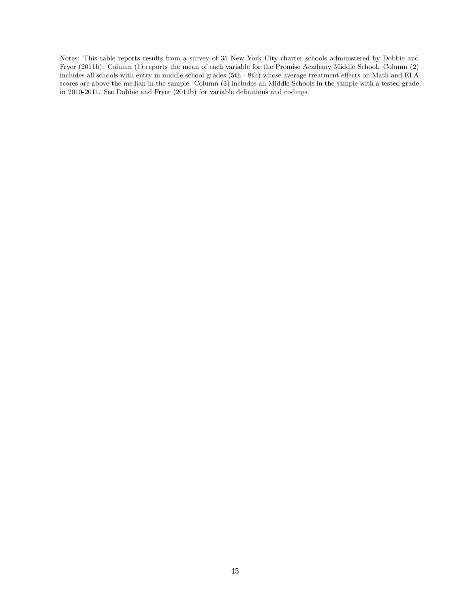Notes: This table reports results from a survey of 35 New York City charter schools administered by Dobbie and Fryer (2011b). Column (1) reports the mean of each variable for the Promise Academy Middle School. Column (2) includes all schools with entry in middle school grades (5th - 8th) whose average treatment effects on Math and ELA scores are above the median in the sample. Column (3) includes all Middle Schools in the sample with a tested grade in 2010-2011. See Dobbie and Fryer (2011b) for variable definitions and codings.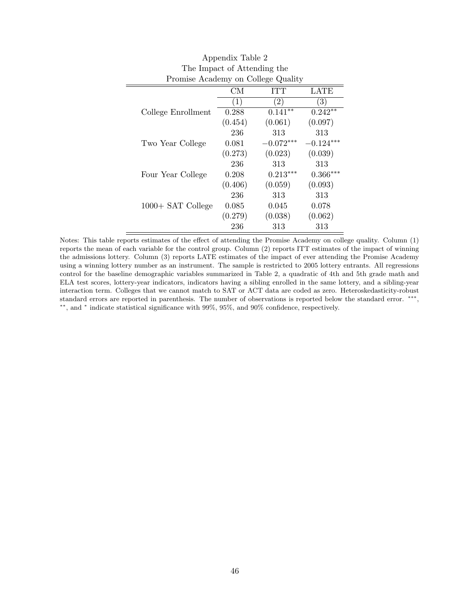| Promise Academy on College Quality |         |                   |             |
|------------------------------------|---------|-------------------|-------------|
|                                    | CM      | <b>ITT</b>        | LATE        |
|                                    | (1)     | $\left( 2\right)$ | (3)         |
| College Enrollment                 | 0.288   | $0.141**$         | $0.242**$   |
|                                    | (0.454) | (0.061)           | (0.097)     |
|                                    | 236     | 313               | 313         |
| Two Year College                   | 0.081   | $-0.072***$       | $-0.124***$ |
|                                    | (0.273) | (0.023)           | (0.039)     |
|                                    | 236     | 313               | 313         |
| Four Year College                  | 0.208   | $0.213***$        | $0.366***$  |
|                                    | (0.406) | (0.059)           | (0.093)     |
|                                    | 236     | 313               | 313         |
| 1000+ SAT College                  | 0.085   | 0.045             | 0.078       |
|                                    | (0.279) | (0.038)           | (0.062)     |
|                                    | 236     | 313               | 313         |

| Appendix Table 2                   |  |
|------------------------------------|--|
| The Impact of Attending the        |  |
| Promise Academy on College Quality |  |

Notes: This table reports estimates of the effect of attending the Promise Academy on college quality. Column (1) reports the mean of each variable for the control group. Column (2) reports ITT estimates of the impact of winning the admissions lottery. Column (3) reports LATE estimates of the impact of ever attending the Promise Academy using a winning lottery number as an instrument. The sample is restricted to 2005 lottery entrants. All regressions control for the baseline demographic variables summarized in Table 2, a quadratic of 4th and 5th grade math and ELA test scores, lottery-year indicators, indicators having a sibling enrolled in the same lottery, and a sibling-year interaction term. Colleges that we cannot match to SAT or ACT data are coded as zero. Heteroskedasticity-robust standard errors are reported in parenthesis. The number of observations is reported below the standard error. <sup>\*\*\*</sup>, ∗∗, and <sup>∗</sup> indicate statistical significance with 99%, 95%, and 90% confidence, respectively.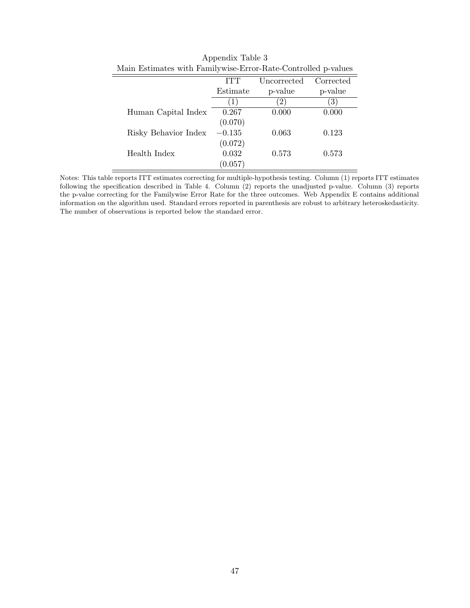| Main estimates with rainity wise-error-nate-controlled p-values |          |              |           |
|-----------------------------------------------------------------|----------|--------------|-----------|
|                                                                 | ITT      | Uncorrected  | Corrected |
|                                                                 | Estimate | p-value      | p-value   |
|                                                                 |          | $\mathbf{2}$ | 3)        |
| Human Capital Index                                             | 0.267    | 0.000        | 0.000     |
|                                                                 | (0.070)  |              |           |
| Risky Behavior Index                                            | $-0.135$ | 0.063        | 0.123     |
|                                                                 | (0.072)  |              |           |
| Health Index                                                    | 0.032    | 0.573        | 0.573     |
|                                                                 | (0.057)  |              |           |

Appendix Table 3 Main Estimates with Familywise-Error-Rate-Controlled p-values

Notes: This table reports ITT estimates correcting for multiple-hypothesis testing. Column (1) reports ITT estimates following the specification described in Table 4. Column (2) reports the unadjusted p-value. Column (3) reports the p-value correcting for the Familywise Error Rate for the three outcomes. Web Appendix E contains additional information on the algorithm used. Standard errors reported in parenthesis are robust to arbitrary heteroskedasticity. The number of observations is reported below the standard error.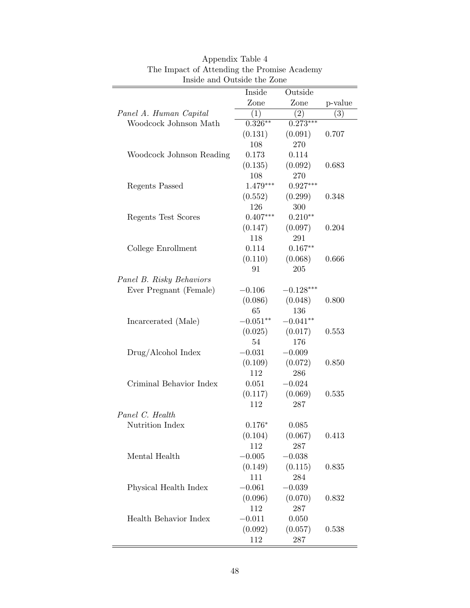|                          | Inside     | Outside     |         |
|--------------------------|------------|-------------|---------|
|                          | Zone       | Zone        | p-value |
| Panel A. Human Capital   | (1)        | (2)         | (3)     |
| Woodcock Johnson Math    | $0.326***$ | $0.273***$  |         |
|                          | (0.131)    | (0.091)     | 0.707   |
|                          | 108        | 270         |         |
| Woodcock Johnson Reading | 0.173      | 0.114       |         |
|                          | (0.135)    | (0.092)     | 0.683   |
|                          | 108        | 270         |         |
| <b>Regents Passed</b>    | $1.479***$ | $0.927***$  |         |
|                          | (0.552)    | (0.299)     | 0.348   |
|                          | 126        | 300         |         |
| Regents Test Scores      | $0.407***$ | $0.210**$   |         |
|                          | (0.147)    | (0.097)     | 0.204   |
|                          | 118        | 291         |         |
| College Enrollment       | 0.114      | $0.167**$   |         |
|                          | (0.110)    | (0.068)     | 0.666   |
|                          | 91         | 205         |         |
| Panel B. Risky Behaviors |            |             |         |
| Ever Pregnant (Female)   | $-0.106$   | $-0.128***$ |         |
|                          | (0.086)    | (0.048)     | 0.800   |
|                          | 65         | 136         |         |
| Incarcerated (Male)      | $-0.051**$ | $-0.041**$  |         |
|                          | (0.025)    | (0.017)     | 0.553   |
|                          | 54         | 176         |         |
| Drug/Alcohol Index       | $-0.031$   | $-0.009$    |         |
|                          | (0.109)    | (0.072)     | 0.850   |
|                          | 112        | 286         |         |
| Criminal Behavior Index  | 0.051      | $-0.024$    |         |
|                          | (0.117)    | (0.069)     | 0.535   |
|                          | 112        | 287         |         |
| Panel C. Health          |            |             |         |
| Nutrition Index          | $0.176*$   | 0.085       |         |
|                          | (0.104)    | (0.067)     | 0.413   |
|                          | 112        | 287         |         |
| Mental Health            | $-0.005$   | $-0.038$    |         |
|                          | (0.149)    | (0.115)     | 0.835   |
|                          | 111        | 284         |         |
| Physical Health Index    | $-0.061$   | $-0.039$    |         |
|                          | (0.096)    | (0.070)     | 0.832   |
|                          | 112        | 287         |         |
| Health Behavior Index    | $-0.011$   | 0.050       |         |
|                          |            |             |         |
|                          | (0.092)    | (0.057)     | 0.538   |

| Appendix Table 4                            |
|---------------------------------------------|
| The Impact of Attending the Promise Academy |
| Inside and Outside the Zone                 |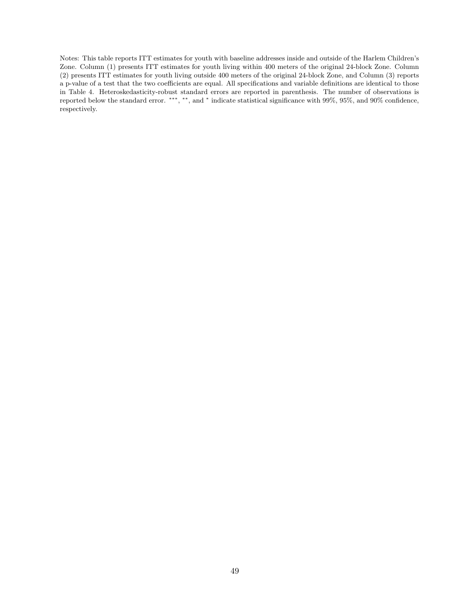Notes: This table reports ITT estimates for youth with baseline addresses inside and outside of the Harlem Children's Zone. Column (1) presents ITT estimates for youth living within 400 meters of the original 24-block Zone. Column (2) presents ITT estimates for youth living outside 400 meters of the original 24-block Zone, and Column (3) reports a p-value of a test that the two coefficients are equal. All specifications and variable definitions are identical to those in Table 4. Heteroskedasticity-robust standard errors are reported in parenthesis. The number of observations is reported below the standard error. \*\*\*, \*\*\*, and \* indicate statistical significance with 99%, 95%, and 90% confidence, respectively.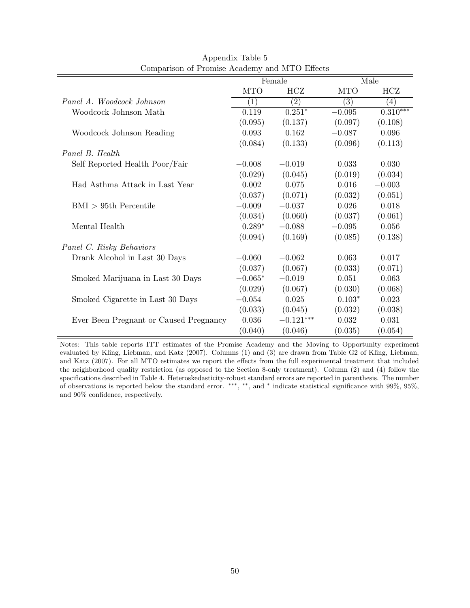|                                        | Female     |             |            | Male       |
|----------------------------------------|------------|-------------|------------|------------|
|                                        | <b>MTO</b> | HCZ         | <b>MTO</b> | HCZ        |
| Panel A. Woodcock Johnson              | (1)        | (2)         | (3)        | (4)        |
| Woodcock Johnson Math                  | 0.119      | $0.251*$    | $-0.095$   | $0.310***$ |
|                                        | (0.095)    | (0.137)     | (0.097)    | (0.108)    |
| Woodcock Johnson Reading               | 0.093      | 0.162       | $-0.087$   | 0.096      |
|                                        | (0.084)    | (0.133)     | (0.096)    | (0.113)    |
| Panel B. Health                        |            |             |            |            |
| Self Reported Health Poor/Fair         | $-0.008$   | $-0.019$    | 0.033      | 0.030      |
|                                        | (0.029)    | (0.045)     | (0.019)    | (0.034)    |
| Had Asthma Attack in Last Year         | 0.002      | 0.075       | 0.016      | $-0.003$   |
|                                        | (0.037)    | (0.071)     | (0.032)    | (0.051)    |
| $\text{BMI}$ > 95th Percentile         | $-0.009$   | $-0.037$    | 0.026      | 0.018      |
|                                        | (0.034)    | (0.060)     | (0.037)    | (0.061)    |
| Mental Health                          | $0.289*$   | $-0.088$    | $-0.095$   | 0.056      |
|                                        | (0.094)    | (0.169)     | (0.085)    | (0.138)    |
| Panel C. Risky Behaviors               |            |             |            |            |
| Drank Alcohol in Last 30 Days          | $-0.060$   | $-0.062$    | 0.063      | 0.017      |
|                                        | (0.037)    | (0.067)     | (0.033)    | (0.071)    |
| Smoked Marijuana in Last 30 Days       | $-0.065*$  | $-0.019$    | 0.051      | 0.063      |
|                                        | (0.029)    | (0.067)     | (0.030)    | (0.068)    |
| Smoked Cigarette in Last 30 Days       | $-0.054$   | 0.025       | $0.103*$   | 0.023      |
|                                        | (0.033)    | (0.045)     | (0.032)    | (0.038)    |
| Ever Been Pregnant or Caused Pregnancy | 0.036      | $-0.121***$ | 0.032      | 0.031      |
|                                        | (0.040)    | (0.046)     | (0.035)    | (0.054)    |

Appendix Table 5 Comparison of Promise Academy and MTO Effects

Notes: This table reports ITT estimates of the Promise Academy and the Moving to Opportunity experiment evaluated by Kling, Liebman, and Katz (2007). Columns (1) and (3) are drawn from Table G2 of Kling, Liebman, and Katz (2007). For all MTO estimates we report the effects from the full experimental treatment that included the neighborhood quality restriction (as opposed to the Section 8-only treatment). Column (2) and (4) follow the specifications described in Table 4. Heteroskedasticity-robust standard errors are reported in parenthesis. The number of observations is reported below the standard error. \*\*\*, \*\*, and \* indicate statistical significance with 99%, 95%, and 90% confidence, respectively.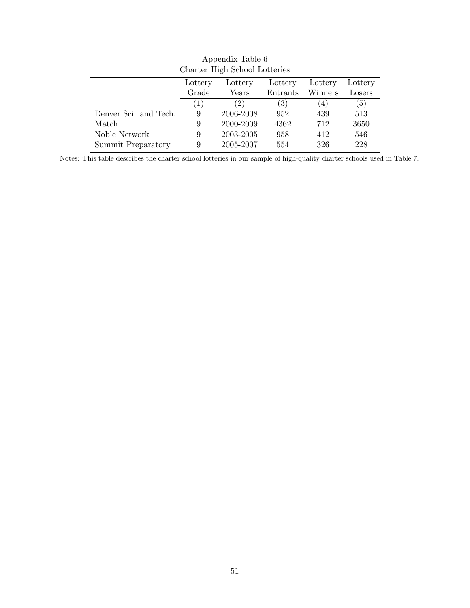|                       |         | Charter High School Lotteries |                  |         |                  |
|-----------------------|---------|-------------------------------|------------------|---------|------------------|
|                       | Lottery | Lottery                       | Lottery          | Lottery | Lottery          |
|                       | Grade   | Years                         | Entrants         | Winners | Losers           |
|                       | 1       | 2)                            | $\left(3\right)$ | 4)      | $\left(5\right)$ |
| Denver Sci. and Tech. | 9       | 2006-2008                     | 952              | 439     | 513              |
| Match                 | 9       | 2000-2009                     | 4362             | 712     | 3650             |
| Noble Network         | 9       | 2003-2005                     | 958              | 412     | 546              |
| Summit Preparatory    | 9       | 2005-2007                     | 554              | 326     | 228              |

Appendix Table 6

Notes: This table describes the charter school lotteries in our sample of high-quality charter schools used in Table 7.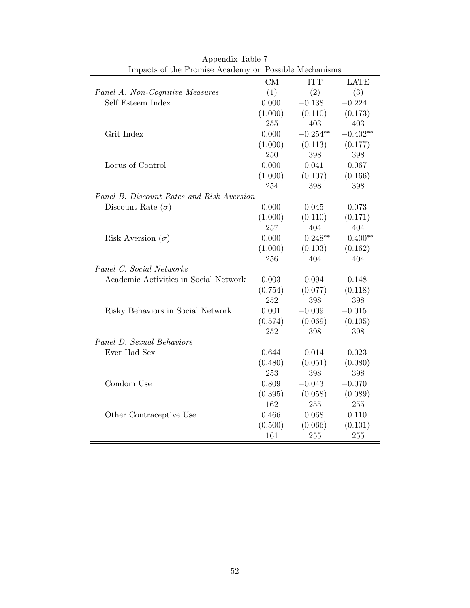| Impacts of the I follise Academy on I ossible incentations |          |            |                  |
|------------------------------------------------------------|----------|------------|------------------|
|                                                            | CM       | <b>ITT</b> | <b>LATE</b>      |
| Panel A. Non-Cognitive Measures                            | (1)      | (2)        | $\overline{(3)}$ |
| Self Esteem Index                                          | 0.000    | $-0.138$   | $-0.224$         |
|                                                            | (1.000)  | (0.110)    | (0.173)          |
|                                                            | 255      | 403        | 403              |
| Grit Index                                                 | 0.000    | $-0.254**$ | $-0.402**$       |
|                                                            | (1.000)  | (0.113)    | (0.177)          |
|                                                            | 250      | 398        | 398              |
| Locus of Control                                           | 0.000    | 0.041      | 0.067            |
|                                                            | (1.000)  | (0.107)    | (0.166)          |
|                                                            | 254      | 398        | 398              |
| Panel B. Discount Rates and Risk Aversion                  |          |            |                  |
| Discount Rate $(\sigma)$                                   | 0.000    | 0.045      | 0.073            |
|                                                            | (1.000)  | (0.110)    | (0.171)          |
|                                                            | 257      | 404        | 404              |
| Risk Aversion $(\sigma)$                                   | 0.000    | $0.248**$  | $0.400**$        |
|                                                            | (1.000)  | (0.103)    | (0.162)          |
|                                                            | 256      | 404        | 404              |
| Panel C. Social Networks                                   |          |            |                  |
| Academic Activities in Social Network                      | $-0.003$ | 0.094      | 0.148            |
|                                                            | (0.754)  | (0.077)    | (0.118)          |
|                                                            | 252      | 398        | 398              |
| Risky Behaviors in Social Network                          | 0.001    | $-0.009$   | $-0.015$         |
|                                                            | (0.574)  | (0.069)    | (0.105)          |
|                                                            | 252      | 398        | 398              |
| Panel D. Sexual Behaviors                                  |          |            |                  |
| Ever Had Sex                                               | 0.644    | $-0.014$   | $-0.023$         |
|                                                            | (0.480)  | (0.051)    | (0.080)          |
|                                                            | 253      | 398        | 398              |
| Condom Use                                                 | 0.809    | $-0.043$   | $-0.070$         |
|                                                            | (0.395)  | (0.058)    | (0.089)          |
|                                                            | 162      | 255        | 255              |
| Other Contraceptive Use                                    | 0.466    | 0.068      | 0.110            |
|                                                            | (0.500)  | (0.066)    | (0.101)          |
|                                                            | 161      | 255        | 255              |
|                                                            |          |            |                  |

| Appendix Table 7                                      |
|-------------------------------------------------------|
| Impacts of the Promise Academy on Possible Mechanisms |